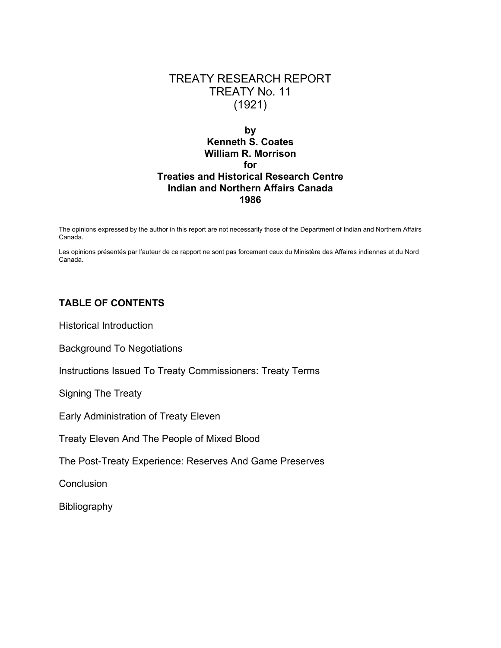# TREATY RESEARCH REPORT TREATY No. 11 (1921)

# **by Kenneth S. Coates William R. Morrison for Treaties and Historical Research Centre Indian and Northern Affairs Canada 1986**

The opinions expressed by the author in this report are not necessarily those of the Department of Indian and Northern Affairs Canada.

Les opinions présentés par l'auteur de ce rapport ne sont pas forcement ceux du Ministère des Affaires indiennes et du Nord Canada.

# **TABLE OF CONTENTS**

Historical Introduction

Background To Negotiations

Instructions Issued To Treaty Commissioners: Treaty Terms

Signing The Treaty

Early Administration of Treaty Eleven

Treaty Eleven And The People of Mixed Blood

The Post-Treaty Experience: Reserves And Game Preserves

**Conclusion** 

**Bibliography**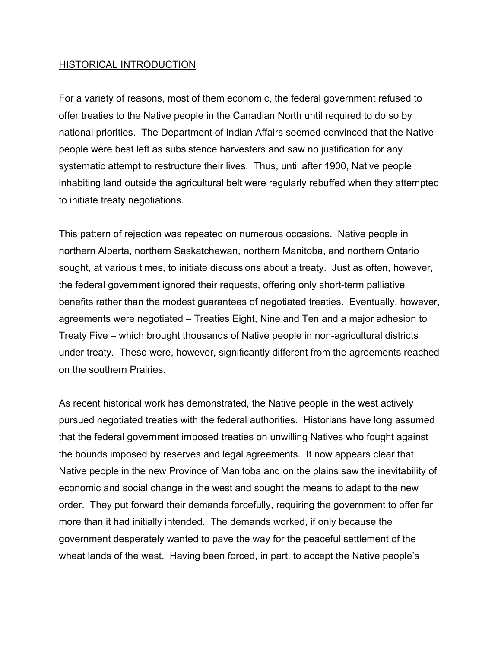## HISTORICAL INTRODUCTION

For a variety of reasons, most of them economic, the federal government refused to offer treaties to the Native people in the Canadian North until required to do so by national priorities. The Department of Indian Affairs seemed convinced that the Native people were best left as subsistence harvesters and saw no justification for any systematic attempt to restructure their lives. Thus, until after 1900, Native people inhabiting land outside the agricultural belt were regularly rebuffed when they attempted to initiate treaty negotiations.

This pattern of rejection was repeated on numerous occasions. Native people in northern Alberta, northern Saskatchewan, northern Manitoba, and northern Ontario sought, at various times, to initiate discussions about a treaty. Just as often, however, the federal government ignored their requests, offering only short-term palliative benefits rather than the modest guarantees of negotiated treaties. Eventually, however, agreements were negotiated – Treaties Eight, Nine and Ten and a major adhesion to Treaty Five – which brought thousands of Native people in non-agricultural districts under treaty. These were, however, significantly different from the agreements reached on the southern Prairies.

As recent historical work has demonstrated, the Native people in the west actively pursued negotiated treaties with the federal authorities. Historians have long assumed that the federal government imposed treaties on unwilling Natives who fought against the bounds imposed by reserves and legal agreements. It now appears clear that Native people in the new Province of Manitoba and on the plains saw the inevitability of economic and social change in the west and sought the means to adapt to the new order. They put forward their demands forcefully, requiring the government to offer far more than it had initially intended. The demands worked, if only because the government desperately wanted to pave the way for the peaceful settlement of the wheat lands of the west. Having been forced, in part, to accept the Native people's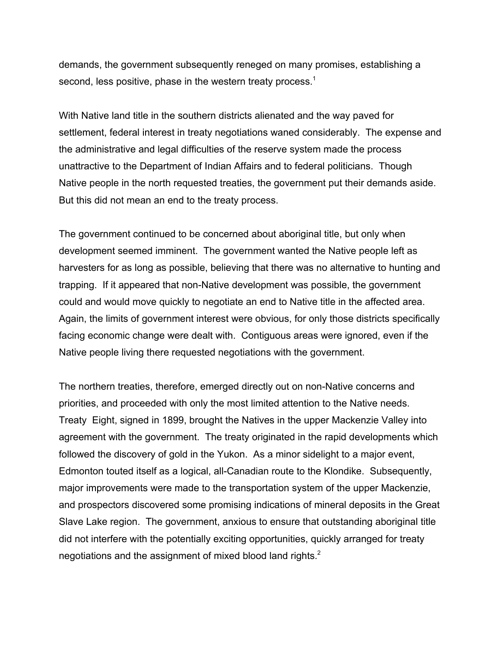demands, the government subsequently reneged on many promises, establishing a second, less positive, phase in the western treaty process.<sup>1</sup>

With Native land title in the southern districts alienated and the way paved for settlement, federal interest in treaty negotiations waned considerably. The expense and the administrative and legal difficulties of the reserve system made the process unattractive to the Department of Indian Affairs and to federal politicians. Though Native people in the north requested treaties, the government put their demands aside. But this did not mean an end to the treaty process.

The government continued to be concerned about aboriginal title, but only when development seemed imminent. The government wanted the Native people left as harvesters for as long as possible, believing that there was no alternative to hunting and trapping. If it appeared that non-Native development was possible, the government could and would move quickly to negotiate an end to Native title in the affected area. Again, the limits of government interest were obvious, for only those districts specifically facing economic change were dealt with. Contiguous areas were ignored, even if the Native people living there requested negotiations with the government.

The northern treaties, therefore, emerged directly out on non-Native concerns and priorities, and proceeded with only the most limited attention to the Native needs. Treaty Eight, signed in 1899, brought the Natives in the upper Mackenzie Valley into agreement with the government. The treaty originated in the rapid developments which followed the discovery of gold in the Yukon. As a minor sidelight to a major event, Edmonton touted itself as a logical, all-Canadian route to the Klondike. Subsequently, major improvements were made to the transportation system of the upper Mackenzie, and prospectors discovered some promising indications of mineral deposits in the Great Slave Lake region. The government, anxious to ensure that outstanding aboriginal title did not interfere with the potentially exciting opportunities, quickly arranged for treaty negotiations and the assignment of mixed blood land rights.<sup>2</sup>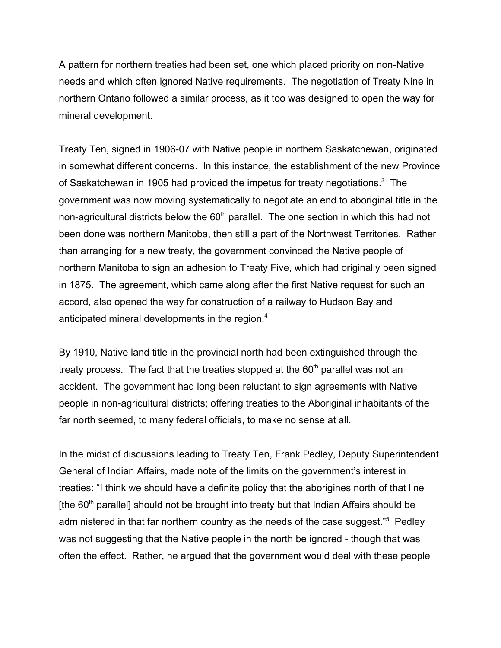A pattern for northern treaties had been set, one which placed priority on non-Native needs and which often ignored Native requirements. The negotiation of Treaty Nine in northern Ontario followed a similar process, as it too was designed to open the way for mineral development.

Treaty Ten, signed in 1906-07 with Native people in northern Saskatchewan, originated in somewhat different concerns. In this instance, the establishment of the new Province of Saskatchewan in 1905 had provided the impetus for treaty negotiations.<sup>3</sup> The government was now moving systematically to negotiate an end to aboriginal title in the non-agricultural districts below the  $60<sup>th</sup>$  parallel. The one section in which this had not been done was northern Manitoba, then still a part of the Northwest Territories. Rather than arranging for a new treaty, the government convinced the Native people of northern Manitoba to sign an adhesion to Treaty Five, which had originally been signed in 1875. The agreement, which came along after the first Native request for such an accord, also opened the way for construction of a railway to Hudson Bay and anticipated mineral developments in the region.<sup>4</sup>

By 1910, Native land title in the provincial north had been extinguished through the treaty process. The fact that the treaties stopped at the  $60<sup>th</sup>$  parallel was not an accident. The government had long been reluctant to sign agreements with Native people in non-agricultural districts; offering treaties to the Aboriginal inhabitants of the far north seemed, to many federal officials, to make no sense at all.

In the midst of discussions leading to Treaty Ten, Frank Pedley, Deputy Superintendent General of Indian Affairs, made note of the limits on the government's interest in treaties: "I think we should have a definite policy that the aborigines north of that line [the  $60<sup>th</sup>$  parallel] should not be brought into treaty but that Indian Affairs should be administered in that far northern country as the needs of the case suggest."<sup>5</sup> Pedley was not suggesting that the Native people in the north be ignored - though that was often the effect. Rather, he argued that the government would deal with these people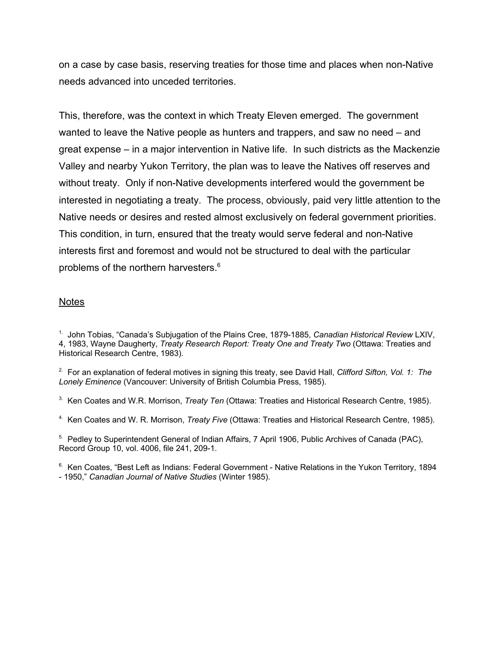on a case by case basis, reserving treaties for those time and places when non-Native needs advanced into unceded territories.

This, therefore, was the context in which Treaty Eleven emerged. The government wanted to leave the Native people as hunters and trappers, and saw no need – and great expense – in a major intervention in Native life. In such districts as the Mackenzie Valley and nearby Yukon Territory, the plan was to leave the Natives off reserves and without treaty. Only if non-Native developments interfered would the government be interested in negotiating a treaty. The process, obviously, paid very little attention to the Native needs or desires and rested almost exclusively on federal government priorities. This condition, in turn, ensured that the treaty would serve federal and non-Native interests first and foremost and would not be structured to deal with the particular problems of the northern harvesters.<sup>6</sup>

## Notes

1. John Tobias, "Canada's Subjugation of the Plains Cree, 1879-1885, *Canadian Historical Review* LXIV, 4, 1983, Wayne Daugherty, *Treaty Research Report: Treaty One and Treaty Two* (Ottawa: Treaties and Historical Research Centre, 1983).

2. For an explanation of federal motives in signing this treaty, see David Hall, *Clifford Sifton, Vol. 1: The Lonely Eminence* (Vancouver: University of British Columbia Press, 1985).

3. Ken Coates and W.R. Morrison, *Treaty Ten* (Ottawa: Treaties and Historical Research Centre, 1985).

4. Ken Coates and W. R. Morrison, *Treaty Five* (Ottawa: Treaties and Historical Research Centre, 1985).

<sup>5.</sup> Pedley to Superintendent General of Indian Affairs, 7 April 1906, Public Archives of Canada (PAC), Record Group 10, vol. 4006, file 241, 209-1.

<sup>6.</sup> Ken Coates, "Best Left as Indians: Federal Government - Native Relations in the Yukon Territory, 1894 - 1950," *Canadian Journal of Native Studies* (Winter 1985).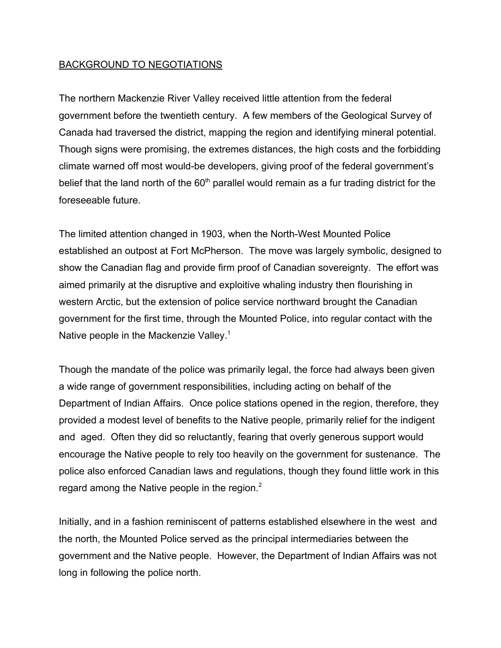# BACKGROUND TO NEGOTIATIONS

The northern Mackenzie River Valley received little attention from the federal government before the twentieth century. A few members of the Geological Survey of Canada had traversed the district, mapping the region and identifying mineral potential. Though signs were promising, the extremes distances, the high costs and the forbidding climate warned off most would-be developers, giving proof of the federal government's belief that the land north of the  $60<sup>th</sup>$  parallel would remain as a fur trading district for the foreseeable future.

The limited attention changed in 1903, when the North-West Mounted Police established an outpost at Fort McPherson. The move was largely symbolic, designed to show the Canadian flag and provide firm proof of Canadian sovereignty. The effort was aimed primarily at the disruptive and exploitive whaling industry then flourishing in western Arctic, but the extension of police service northward brought the Canadian government for the first time, through the Mounted Police, into regular contact with the Native people in the Mackenzie Valley.<sup>1</sup>

Though the mandate of the police was primarily legal, the force had always been given a wide range of government responsibilities, including acting on behalf of the Department of Indian Affairs. Once police stations opened in the region, therefore, they provided a modest level of benefits to the Native people, primarily relief for the indigent and aged. Often they did so reluctantly, fearing that overly generous support would encourage the Native people to rely too heavily on the government for sustenance. The police also enforced Canadian laws and regulations, though they found little work in this regard among the Native people in the region. $2$ 

Initially, and in a fashion reminiscent of patterns established elsewhere in the west and the north, the Mounted Police served as the principal intermediaries between the government and the Native people. However, the Department of Indian Affairs was not long in following the police north.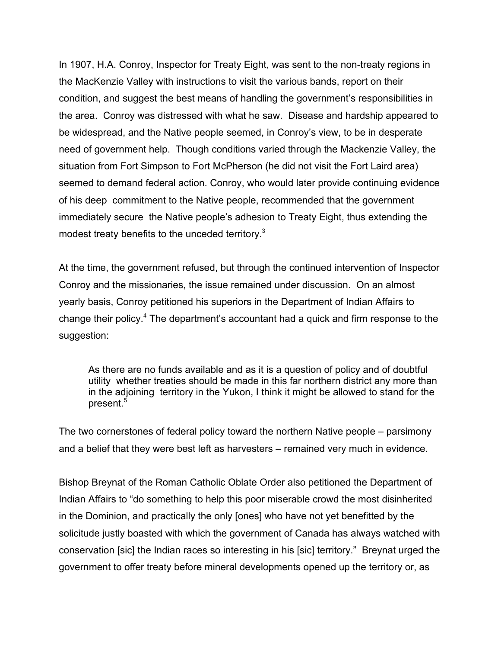In 1907, H.A. Conroy, Inspector for Treaty Eight, was sent to the non-treaty regions in the MacKenzie Valley with instructions to visit the various bands, report on their condition, and suggest the best means of handling the government's responsibilities in the area. Conroy was distressed with what he saw. Disease and hardship appeared to be widespread, and the Native people seemed, in Conroy's view, to be in desperate need of government help. Though conditions varied through the Mackenzie Valley, the situation from Fort Simpson to Fort McPherson (he did not visit the Fort Laird area) seemed to demand federal action. Conroy, who would later provide continuing evidence of his deep commitment to the Native people, recommended that the government immediately secure the Native people's adhesion to Treaty Eight, thus extending the modest treaty benefits to the unceded territory.<sup>3</sup>

At the time, the government refused, but through the continued intervention of Inspector Conroy and the missionaries, the issue remained under discussion. On an almost yearly basis, Conroy petitioned his superiors in the Department of Indian Affairs to change their policy.<sup>4</sup> The department's accountant had a quick and firm response to the suggestion:

As there are no funds available and as it is a question of policy and of doubtful utility whether treaties should be made in this far northern district any more than in the adjoining territory in the Yukon, I think it might be allowed to stand for the present.<sup>5</sup>

The two cornerstones of federal policy toward the northern Native people – parsimony and a belief that they were best left as harvesters – remained very much in evidence.

Bishop Breynat of the Roman Catholic Oblate Order also petitioned the Department of Indian Affairs to "do something to help this poor miserable crowd the most disinherited in the Dominion, and practically the only [ones] who have not yet benefitted by the solicitude justly boasted with which the government of Canada has always watched with conservation [sic] the Indian races so interesting in his [sic] territory." Breynat urged the government to offer treaty before mineral developments opened up the territory or, as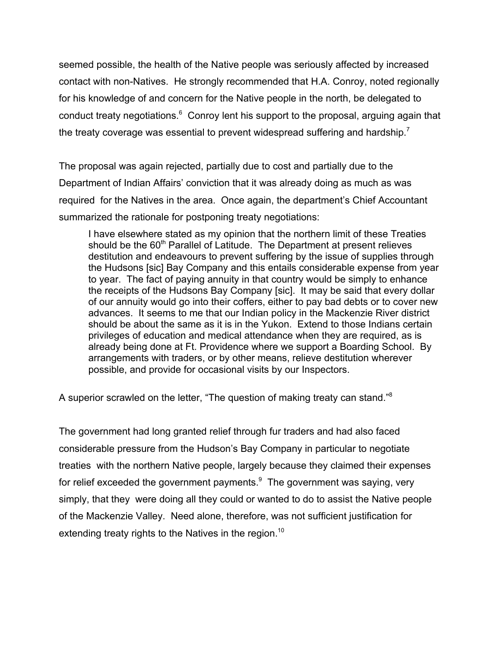seemed possible, the health of the Native people was seriously affected by increased contact with non-Natives. He strongly recommended that H.A. Conroy, noted regionally for his knowledge of and concern for the Native people in the north, be delegated to conduct treaty negotiations.<sup>6</sup> Conroy lent his support to the proposal, arguing again that the treaty coverage was essential to prevent widespread suffering and hardship.<sup>7</sup>

The proposal was again rejected, partially due to cost and partially due to the Department of Indian Affairs' conviction that it was already doing as much as was required for the Natives in the area. Once again, the department's Chief Accountant summarized the rationale for postponing treaty negotiations:

I have elsewhere stated as my opinion that the northern limit of these Treaties should be the 60<sup>th</sup> Parallel of Latitude. The Department at present relieves destitution and endeavours to prevent suffering by the issue of supplies through the Hudsons [sic] Bay Company and this entails considerable expense from year to year. The fact of paying annuity in that country would be simply to enhance the receipts of the Hudsons Bay Company [sic]. It may be said that every dollar of our annuity would go into their coffers, either to pay bad debts or to cover new advances. It seems to me that our Indian policy in the Mackenzie River district should be about the same as it is in the Yukon. Extend to those Indians certain privileges of education and medical attendance when they are required, as is already being done at Ft. Providence where we support a Boarding School. By arrangements with traders, or by other means, relieve destitution wherever possible, and provide for occasional visits by our Inspectors.

A superior scrawled on the letter, "The question of making treaty can stand."8

The government had long granted relief through fur traders and had also faced considerable pressure from the Hudson's Bay Company in particular to negotiate treaties with the northern Native people, largely because they claimed their expenses for relief exceeded the government payments. $9$  The government was saying, very simply, that they were doing all they could or wanted to do to assist the Native people of the Mackenzie Valley. Need alone, therefore, was not sufficient justification for extending treaty rights to the Natives in the region.<sup>10</sup>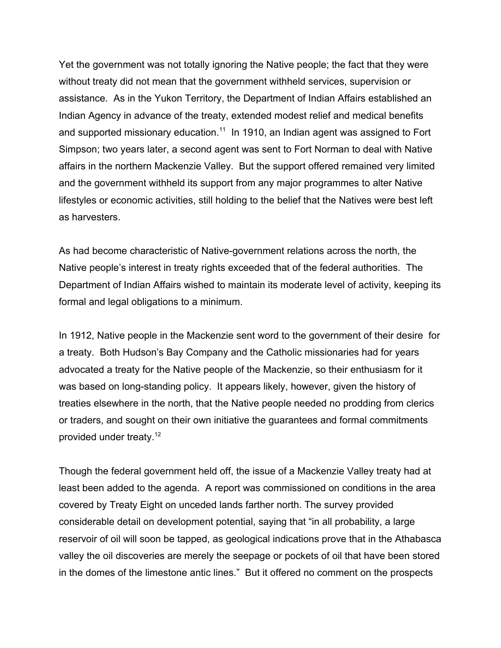Yet the government was not totally ignoring the Native people; the fact that they were without treaty did not mean that the government withheld services, supervision or assistance. As in the Yukon Territory, the Department of Indian Affairs established an Indian Agency in advance of the treaty, extended modest relief and medical benefits and supported missionary education.<sup>11</sup> In 1910, an Indian agent was assigned to Fort Simpson; two years later, a second agent was sent to Fort Norman to deal with Native affairs in the northern Mackenzie Valley. But the support offered remained very limited and the government withheld its support from any major programmes to alter Native lifestyles or economic activities, still holding to the belief that the Natives were best left as harvesters.

As had become characteristic of Native-government relations across the north, the Native people's interest in treaty rights exceeded that of the federal authorities. The Department of Indian Affairs wished to maintain its moderate level of activity, keeping its formal and legal obligations to a minimum.

In 1912, Native people in the Mackenzie sent word to the government of their desire for a treaty. Both Hudson's Bay Company and the Catholic missionaries had for years advocated a treaty for the Native people of the Mackenzie, so their enthusiasm for it was based on long-standing policy. It appears likely, however, given the history of treaties elsewhere in the north, that the Native people needed no prodding from clerics or traders, and sought on their own initiative the guarantees and formal commitments provided under treaty.<sup>12</sup>

Though the federal government held off, the issue of a Mackenzie Valley treaty had at least been added to the agenda. A report was commissioned on conditions in the area covered by Treaty Eight on unceded lands farther north. The survey provided considerable detail on development potential, saying that "in all probability, a large reservoir of oil will soon be tapped, as geological indications prove that in the Athabasca valley the oil discoveries are merely the seepage or pockets of oil that have been stored in the domes of the limestone antic lines." But it offered no comment on the prospects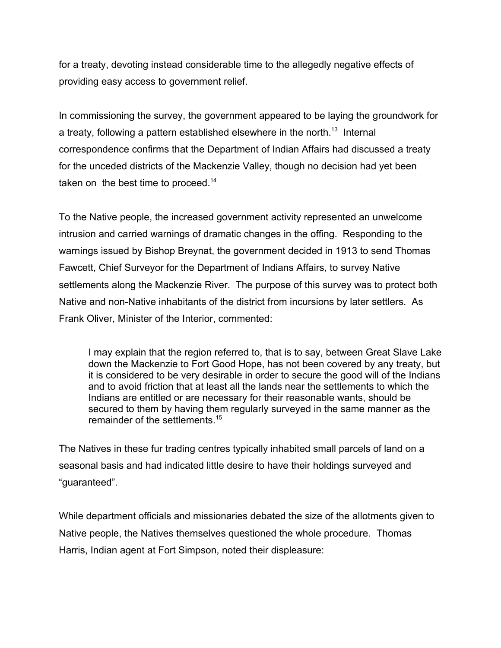for a treaty, devoting instead considerable time to the allegedly negative effects of providing easy access to government relief.

In commissioning the survey, the government appeared to be laying the groundwork for a treaty, following a pattern established elsewhere in the north.<sup>13</sup> Internal correspondence confirms that the Department of Indian Affairs had discussed a treaty for the unceded districts of the Mackenzie Valley, though no decision had yet been taken on the best time to proceed.<sup>14</sup>

To the Native people, the increased government activity represented an unwelcome intrusion and carried warnings of dramatic changes in the offing. Responding to the warnings issued by Bishop Breynat, the government decided in 1913 to send Thomas Fawcett, Chief Surveyor for the Department of Indians Affairs, to survey Native settlements along the Mackenzie River. The purpose of this survey was to protect both Native and non-Native inhabitants of the district from incursions by later settlers. As Frank Oliver, Minister of the Interior, commented:

I may explain that the region referred to, that is to say, between Great Slave Lake down the Mackenzie to Fort Good Hope, has not been covered by any treaty, but it is considered to be very desirable in order to secure the good will of the Indians and to avoid friction that at least all the lands near the settlements to which the Indians are entitled or are necessary for their reasonable wants, should be secured to them by having them regularly surveyed in the same manner as the remainder of the settlements<sup>15</sup>

The Natives in these fur trading centres typically inhabited small parcels of land on a seasonal basis and had indicated little desire to have their holdings surveyed and "guaranteed".

While department officials and missionaries debated the size of the allotments given to Native people, the Natives themselves questioned the whole procedure. Thomas Harris, Indian agent at Fort Simpson, noted their displeasure: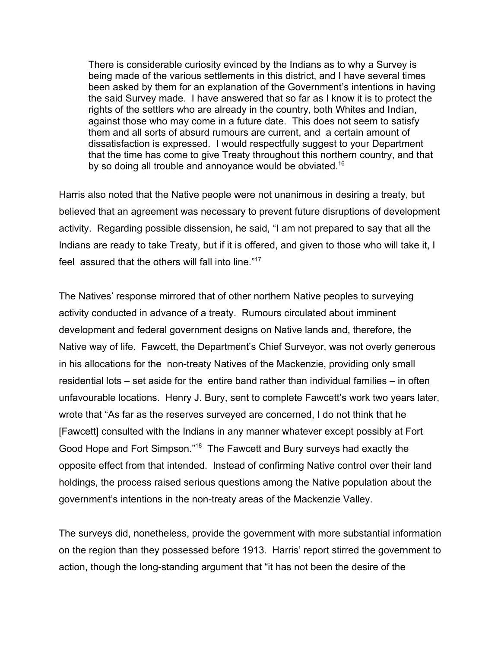There is considerable curiosity evinced by the Indians as to why a Survey is being made of the various settlements in this district, and I have several times been asked by them for an explanation of the Government's intentions in having the said Survey made. I have answered that so far as I know it is to protect the rights of the settlers who are already in the country, both Whites and Indian, against those who may come in a future date. This does not seem to satisfy them and all sorts of absurd rumours are current, and a certain amount of dissatisfaction is expressed. I would respectfully suggest to your Department that the time has come to give Treaty throughout this northern country, and that by so doing all trouble and annoyance would be obviated.<sup>16</sup>

Harris also noted that the Native people were not unanimous in desiring a treaty, but believed that an agreement was necessary to prevent future disruptions of development activity. Regarding possible dissension, he said, "I am not prepared to say that all the Indians are ready to take Treaty, but if it is offered, and given to those who will take it, I feel assured that the others will fall into line."<sup>17</sup>

The Natives' response mirrored that of other northern Native peoples to surveying activity conducted in advance of a treaty. Rumours circulated about imminent development and federal government designs on Native lands and, therefore, the Native way of life. Fawcett, the Department's Chief Surveyor, was not overly generous in his allocations for the non-treaty Natives of the Mackenzie, providing only small residential lots – set aside for the entire band rather than individual families – in often unfavourable locations. Henry J. Bury, sent to complete Fawcett's work two years later, wrote that "As far as the reserves surveyed are concerned, I do not think that he [Fawcett] consulted with the Indians in any manner whatever except possibly at Fort Good Hope and Fort Simpson."18 The Fawcett and Bury surveys had exactly the opposite effect from that intended. Instead of confirming Native control over their land holdings, the process raised serious questions among the Native population about the government's intentions in the non-treaty areas of the Mackenzie Valley.

The surveys did, nonetheless, provide the government with more substantial information on the region than they possessed before 1913. Harris' report stirred the government to action, though the long-standing argument that "it has not been the desire of the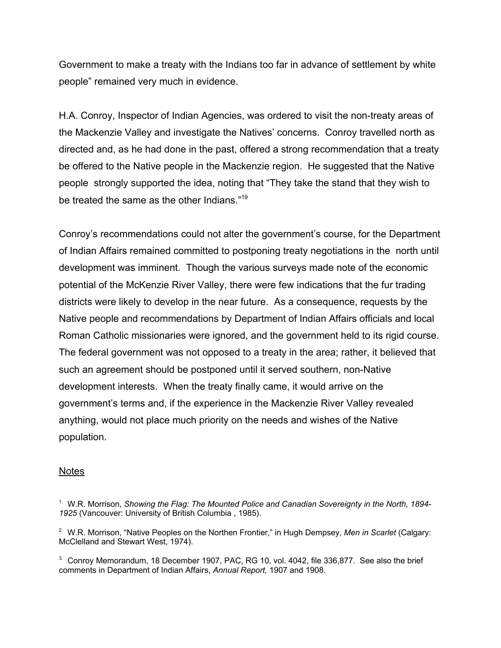Government to make a treaty with the Indians too far in advance of settlement by white people" remained very much in evidence.

H.A. Conroy, Inspector of Indian Agencies, was ordered to visit the non-treaty areas of the Mackenzie Valley and investigate the Natives' concerns. Conroy travelled north as directed and, as he had done in the past, offered a strong recommendation that a treaty be offered to the Native people in the Mackenzie region. He suggested that the Native people strongly supported the idea, noting that "They take the stand that they wish to be treated the same as the other Indians."19

Conroy's recommendations could not alter the government's course, for the Department of Indian Affairs remained committed to postponing treaty negotiations in the north until development was imminent. Though the various surveys made note of the economic potential of the McKenzie River Valley, there were few indications that the fur trading districts were likely to develop in the near future. As a consequence, requests by the Native people and recommendations by Department of Indian Affairs officials and local Roman Catholic missionaries were ignored, and the government held to its rigid course. The federal government was not opposed to a treaty in the area; rather, it believed that such an agreement should be postponed until it served southern, non-Native development interests. When the treaty finally came, it would arrive on the government's terms and, if the experience in the Mackenzie River Valley revealed anything, would not place much priority on the needs and wishes of the Native population.

#### Notes

<sup>1.</sup> W.R. Morrison, *Showing the Flag: The Mounted Police and Canadian Sovereignty in the North, 1894- 1925* (Vancouver: University of British Columbia , 1985).

<sup>2.</sup> W.R. Morrison, "Native Peoples on the Northen Frontier," in Hugh Dempsey, *Men in Scarlet* (Calgary: McClelland and Stewart West, 1974).

<sup>&</sup>lt;sup>3.</sup> Conroy Memorandum, 18 December 1907, PAC, RG 10, vol. 4042, file 336,877. See also the brief comments in Department of Indian Affairs, *Annual Report,* 1907 and 1908.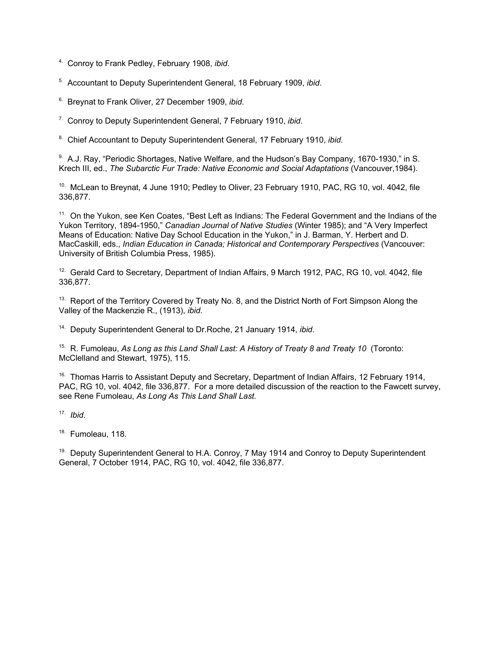- 4. Conroy to Frank Pedley, February 1908, *ibid*.
- 5. Accountant to Deputy Superintendent General, 18 February 1909, *ibid*.
- 6. Breynat to Frank Oliver, 27 December 1909, *ibid*.
- 7. Conroy to Deputy Superintendent General, 7 February 1910, *ibid*.
- 8. Chief Accountant to Deputy Superintendent General, 17 February 1910, *ibid*.

<sup>9.</sup> A.J. Ray, "Periodic Shortages, Native Welfare, and the Hudson's Bay Company, 1670-1930," in S. Krech III, ed., *The Subarctic Fur Trade: Native Economic and Social Adaptations* (Vancouver,1984).

<sup>10.</sup> McLean to Breynat, 4 June 1910; Pedley to Oliver, 23 February 1910, PAC, RG 10, vol. 4042. file 336,877.

<sup>11.</sup> On the Yukon, see Ken Coates, "Best Left as Indians: The Federal Government and the Indians of the Yukon Territory, 1894-1950," *Canadian Journal of Native Studies* (Winter 1985); and "A Very Imperfect Means of Education: Native Day School Education in the Yukon," in J. Barman, Y. Herbert and D. MacCaskill, eds., *Indian Education in Canada; Historical and Contemporary Perspectives* (Vancouver: University of British Columbia Press, 1985).

<sup>12.</sup> Gerald Card to Secretary, Department of Indian Affairs, 9 March 1912, PAC, RG 10, vol. 4042, file 336,877.

<sup>13.</sup> Report of the Territory Covered by Treaty No. 8, and the District North of Fort Simpson Along the Valley of the Mackenzie R., (1913), *ibid*.

14. Deputy Superintendent General to Dr.Roche, 21 January 1914, *ibid*.

15. R. Fumoleau, *As Long as this Land Shall Last: A History of Treaty 8 and Treaty 10* (Toronto: McClelland and Stewart, 1975), 115.

<sup>16.</sup> Thomas Harris to Assistant Deputy and Secretary, Department of Indian Affairs, 12 February 1914, PAC, RG 10, vol. 4042, file 336,877. For a more detailed discussion of the reaction to the Fawcett survey, see Rene Fumoleau, *As Long As This Land Shall Last.*

17. *Ibid*.

<sup>18.</sup> Fumoleau, 118.

 $19.$  Deputy Superintendent General to H.A. Conroy, 7 May 1914 and Conroy to Deputy Superintendent General, 7 October 1914, PAC, RG 10, vol. 4042, file 336,877.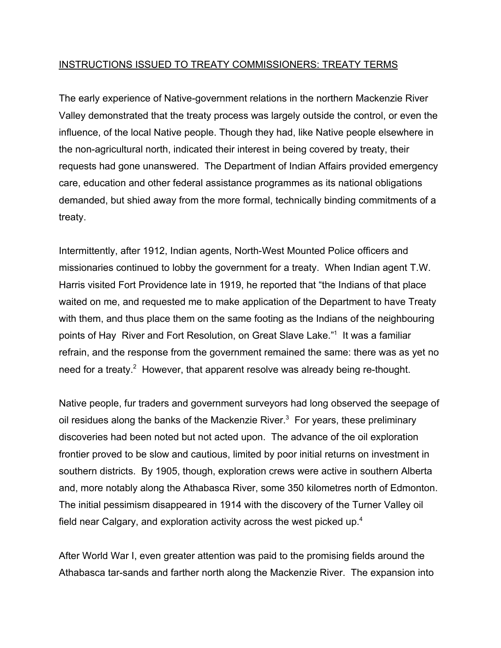## INSTRUCTIONS ISSUED TO TREATY COMMISSIONERS: TREATY TERMS

The early experience of Native-government relations in the northern Mackenzie River Valley demonstrated that the treaty process was largely outside the control, or even the influence, of the local Native people. Though they had, like Native people elsewhere in the non-agricultural north, indicated their interest in being covered by treaty, their requests had gone unanswered. The Department of Indian Affairs provided emergency care, education and other federal assistance programmes as its national obligations demanded, but shied away from the more formal, technically binding commitments of a treaty.

Intermittently, after 1912, Indian agents, North-West Mounted Police officers and missionaries continued to lobby the government for a treaty. When Indian agent T.W. Harris visited Fort Providence late in 1919, he reported that "the Indians of that place waited on me, and requested me to make application of the Department to have Treaty with them, and thus place them on the same footing as the Indians of the neighbouring points of Hay River and Fort Resolution, on Great Slave Lake."<sup>1</sup> It was a familiar refrain, and the response from the government remained the same: there was as yet no need for a treaty.<sup>2</sup> However, that apparent resolve was already being re-thought.

Native people, fur traders and government surveyors had long observed the seepage of oil residues along the banks of the Mackenzie River. $3$  For years, these preliminary discoveries had been noted but not acted upon. The advance of the oil exploration frontier proved to be slow and cautious, limited by poor initial returns on investment in southern districts. By 1905, though, exploration crews were active in southern Alberta and, more notably along the Athabasca River, some 350 kilometres north of Edmonton. The initial pessimism disappeared in 1914 with the discovery of the Turner Valley oil field near Calgary, and exploration activity across the west picked up.<sup>4</sup>

After World War I, even greater attention was paid to the promising fields around the Athabasca tar-sands and farther north along the Mackenzie River. The expansion into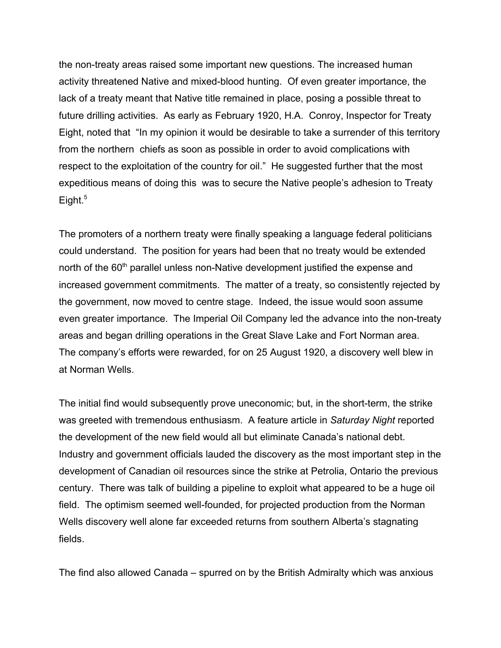the non-treaty areas raised some important new questions. The increased human activity threatened Native and mixed-blood hunting. Of even greater importance, the lack of a treaty meant that Native title remained in place, posing a possible threat to future drilling activities. As early as February 1920, H.A. Conroy, Inspector for Treaty Eight, noted that "In my opinion it would be desirable to take a surrender of this territory from the northern chiefs as soon as possible in order to avoid complications with respect to the exploitation of the country for oil." He suggested further that the most expeditious means of doing this was to secure the Native people's adhesion to Treaty Eight. $5$ 

The promoters of a northern treaty were finally speaking a language federal politicians could understand. The position for years had been that no treaty would be extended north of the 60<sup>th</sup> parallel unless non-Native development justified the expense and increased government commitments. The matter of a treaty, so consistently rejected by the government, now moved to centre stage. Indeed, the issue would soon assume even greater importance. The Imperial Oil Company led the advance into the non-treaty areas and began drilling operations in the Great Slave Lake and Fort Norman area. The company's efforts were rewarded, for on 25 August 1920, a discovery well blew in at Norman Wells.

The initial find would subsequently prove uneconomic; but, in the short-term, the strike was greeted with tremendous enthusiasm. A feature article in *Saturday Night* reported the development of the new field would all but eliminate Canada's national debt. Industry and government officials lauded the discovery as the most important step in the development of Canadian oil resources since the strike at Petrolia, Ontario the previous century. There was talk of building a pipeline to exploit what appeared to be a huge oil field. The optimism seemed well-founded, for projected production from the Norman Wells discovery well alone far exceeded returns from southern Alberta's stagnating fields.

The find also allowed Canada – spurred on by the British Admiralty which was anxious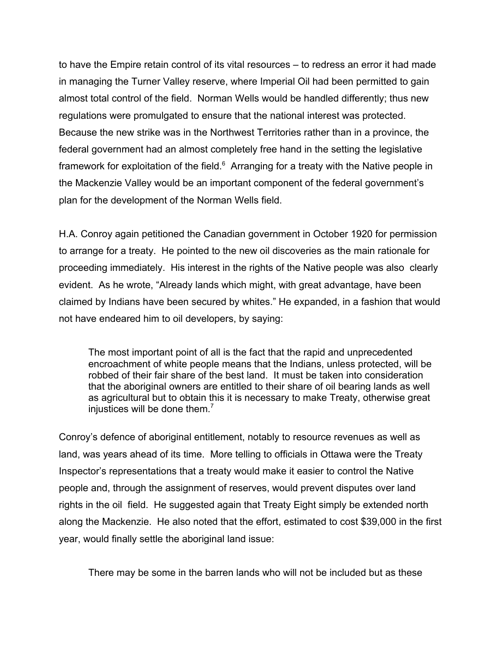to have the Empire retain control of its vital resources – to redress an error it had made in managing the Turner Valley reserve, where Imperial Oil had been permitted to gain almost total control of the field. Norman Wells would be handled differently; thus new regulations were promulgated to ensure that the national interest was protected. Because the new strike was in the Northwest Territories rather than in a province, the federal government had an almost completely free hand in the setting the legislative framework for exploitation of the field. $6$  Arranging for a treaty with the Native people in the Mackenzie Valley would be an important component of the federal government's plan for the development of the Norman Wells field.

H.A. Conroy again petitioned the Canadian government in October 1920 for permission to arrange for a treaty. He pointed to the new oil discoveries as the main rationale for proceeding immediately. His interest in the rights of the Native people was also clearly evident. As he wrote, "Already lands which might, with great advantage, have been claimed by Indians have been secured by whites." He expanded, in a fashion that would not have endeared him to oil developers, by saying:

The most important point of all is the fact that the rapid and unprecedented encroachment of white people means that the Indians, unless protected, will be robbed of their fair share of the best land. It must be taken into consideration that the aboriginal owners are entitled to their share of oil bearing lands as well as agricultural but to obtain this it is necessary to make Treaty, otherwise great injustices will be done them.<sup>7</sup>

Conroy's defence of aboriginal entitlement, notably to resource revenues as well as land, was years ahead of its time. More telling to officials in Ottawa were the Treaty Inspector's representations that a treaty would make it easier to control the Native people and, through the assignment of reserves, would prevent disputes over land rights in the oil field. He suggested again that Treaty Eight simply be extended north along the Mackenzie. He also noted that the effort, estimated to cost \$39,000 in the first year, would finally settle the aboriginal land issue:

There may be some in the barren lands who will not be included but as these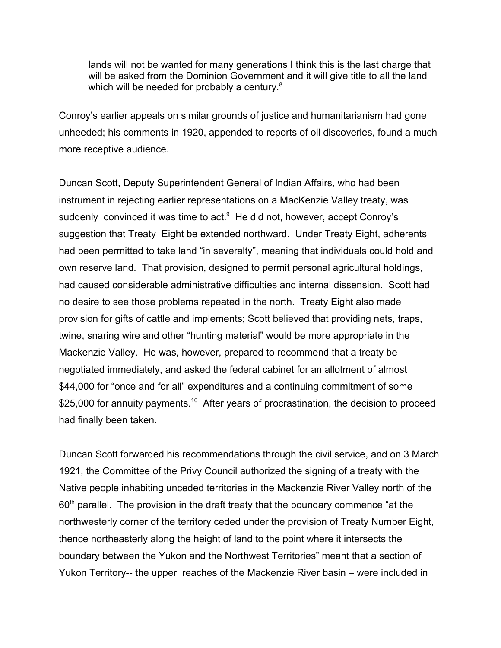lands will not be wanted for many generations I think this is the last charge that will be asked from the Dominion Government and it will give title to all the land which will be needed for probably a century. $8$ 

Conroy's earlier appeals on similar grounds of justice and humanitarianism had gone unheeded; his comments in 1920, appended to reports of oil discoveries, found a much more receptive audience.

Duncan Scott, Deputy Superintendent General of Indian Affairs, who had been instrument in rejecting earlier representations on a MacKenzie Valley treaty, was suddenly convinced it was time to act.<sup>9</sup> He did not, however, accept Conroy's suggestion that Treaty Eight be extended northward. Under Treaty Eight, adherents had been permitted to take land "in severalty", meaning that individuals could hold and own reserve land. That provision, designed to permit personal agricultural holdings, had caused considerable administrative difficulties and internal dissension. Scott had no desire to see those problems repeated in the north. Treaty Eight also made provision for gifts of cattle and implements; Scott believed that providing nets, traps, twine, snaring wire and other "hunting material" would be more appropriate in the Mackenzie Valley. He was, however, prepared to recommend that a treaty be negotiated immediately, and asked the federal cabinet for an allotment of almost \$44,000 for "once and for all" expenditures and a continuing commitment of some \$25,000 for annuity payments.<sup>10</sup> After years of procrastination, the decision to proceed had finally been taken.

Duncan Scott forwarded his recommendations through the civil service, and on 3 March 1921, the Committee of the Privy Council authorized the signing of a treaty with the Native people inhabiting unceded territories in the Mackenzie River Valley north of the  $60<sup>th</sup>$  parallel. The provision in the draft treaty that the boundary commence "at the northwesterly corner of the territory ceded under the provision of Treaty Number Eight, thence northeasterly along the height of land to the point where it intersects the boundary between the Yukon and the Northwest Territories" meant that a section of Yukon Territory-- the upper reaches of the Mackenzie River basin – were included in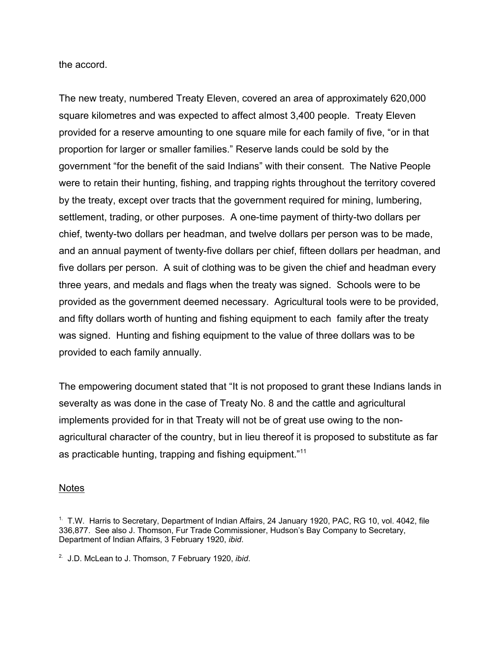the accord.

The new treaty, numbered Treaty Eleven, covered an area of approximately 620,000 square kilometres and was expected to affect almost 3,400 people. Treaty Eleven provided for a reserve amounting to one square mile for each family of five, "or in that proportion for larger or smaller families." Reserve lands could be sold by the government "for the benefit of the said Indians" with their consent. The Native People were to retain their hunting, fishing, and trapping rights throughout the territory covered by the treaty, except over tracts that the government required for mining, lumbering, settlement, trading, or other purposes. A one-time payment of thirty-two dollars per chief, twenty-two dollars per headman, and twelve dollars per person was to be made, and an annual payment of twenty-five dollars per chief, fifteen dollars per headman, and five dollars per person. A suit of clothing was to be given the chief and headman every three years, and medals and flags when the treaty was signed. Schools were to be provided as the government deemed necessary. Agricultural tools were to be provided, and fifty dollars worth of hunting and fishing equipment to each family after the treaty was signed. Hunting and fishing equipment to the value of three dollars was to be provided to each family annually.

The empowering document stated that "It is not proposed to grant these Indians lands in severalty as was done in the case of Treaty No. 8 and the cattle and agricultural implements provided for in that Treaty will not be of great use owing to the nonagricultural character of the country, but in lieu thereof it is proposed to substitute as far as practicable hunting, trapping and fishing equipment."<sup>11</sup>

## Notes

 $<sup>1</sup>$  T.W. Harris to Secretary, Department of Indian Affairs, 24 January 1920, PAC, RG 10, vol. 4042, file</sup> 336,877. See also J. Thomson, Fur Trade Commissioner, Hudson's Bay Company to Secretary, Department of Indian Affairs, 3 February 1920, *ibid*.

<sup>2.</sup> J.D. McLean to J. Thomson, 7 February 1920, *ibid*.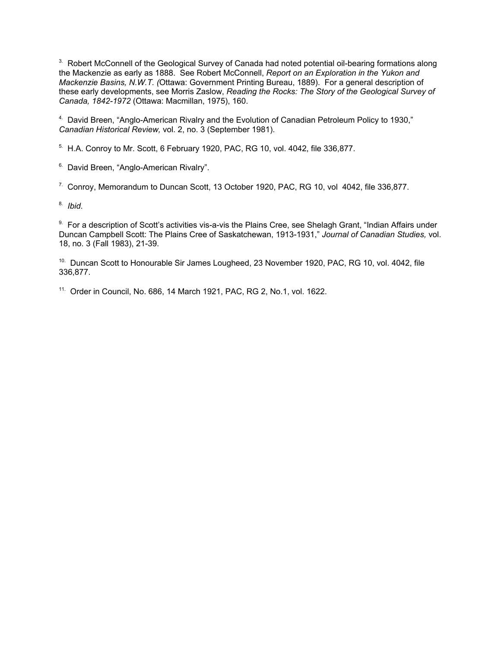<sup>3.</sup> Robert McConnell of the Geological Survey of Canada had noted potential oil-bearing formations along the Mackenzie as early as 1888. See Robert McConnell, *Report on an Exploration in the Yukon and Mackenzie Basins, N.W.T. (*Ottawa: Government Printing Bureau, 1889). For a general description of these early developments, see Morris Zaslow, *Reading the Rocks: The Story of the Geological Survey of Canada, 1842-1972* (Ottawa: Macmillan, 1975), 160.

4. David Breen, "Anglo-American Rivalry and the Evolution of Canadian Petroleum Policy to 1930," *Canadian Historical Review,* vol. 2, no. 3 (September 1981).

 $5.$  H.A. Conroy to Mr. Scott, 6 February 1920, PAC, RG 10, vol. 4042, file 336,877.

<sup>6.</sup> David Breen, "Anglo-American Rivalry".

7. Conroy, Memorandum to Duncan Scott, 13 October 1920, PAC, RG 10, vol 4042, file 336,877.

8. *Ibid*.

9. For a description of Scott's activities vis-a-vis the Plains Cree, see Shelagh Grant, "Indian Affairs under Duncan Campbell Scott: The Plains Cree of Saskatchewan, 1913-1931," *Journal of Canadian Studies,* vol. 18, no. 3 (Fall 1983), 21-39.

<sup>10.</sup> Duncan Scott to Honourable Sir James Lougheed, 23 November 1920, PAC, RG 10, vol. 4042, file 336,877.

11. Order in Council, No. 686, 14 March 1921, PAC, RG 2, No.1, vol. 1622.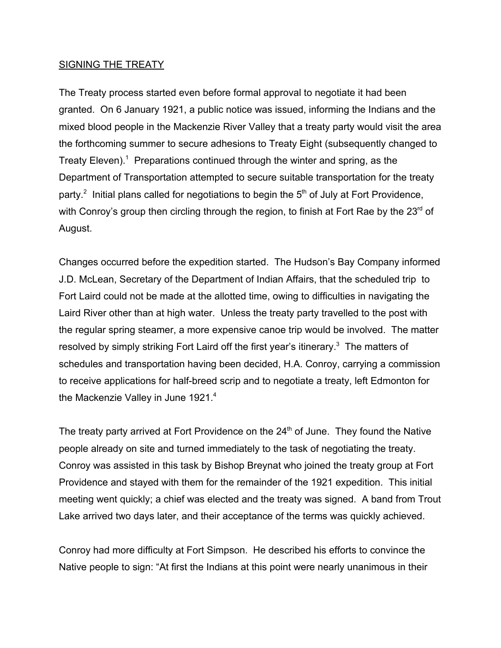## SIGNING THE TREATY

The Treaty process started even before formal approval to negotiate it had been granted. On 6 January 1921, a public notice was issued, informing the Indians and the mixed blood people in the Mackenzie River Valley that a treaty party would visit the area the forthcoming summer to secure adhesions to Treaty Eight (subsequently changed to Treaty Eleven). $1$  Preparations continued through the winter and spring, as the Department of Transportation attempted to secure suitable transportation for the treaty party.<sup>2</sup> Initial plans called for negotiations to begin the 5<sup>th</sup> of July at Fort Providence, with Conroy's group then circling through the region, to finish at Fort Rae by the  $23<sup>rd</sup>$  of August.

Changes occurred before the expedition started. The Hudson's Bay Company informed J.D. McLean, Secretary of the Department of Indian Affairs, that the scheduled trip to Fort Laird could not be made at the allotted time, owing to difficulties in navigating the Laird River other than at high water. Unless the treaty party travelled to the post with the regular spring steamer, a more expensive canoe trip would be involved. The matter resolved by simply striking Fort Laird off the first year's itinerary. $3$  The matters of schedules and transportation having been decided, H.A. Conroy, carrying a commission to receive applications for half-breed scrip and to negotiate a treaty, left Edmonton for the Mackenzie Valley in June 1921.<sup>4</sup>

The treaty party arrived at Fort Providence on the 24<sup>th</sup> of June. They found the Native people already on site and turned immediately to the task of negotiating the treaty. Conroy was assisted in this task by Bishop Breynat who joined the treaty group at Fort Providence and stayed with them for the remainder of the 1921 expedition. This initial meeting went quickly; a chief was elected and the treaty was signed. A band from Trout Lake arrived two days later, and their acceptance of the terms was quickly achieved.

Conroy had more difficulty at Fort Simpson. He described his efforts to convince the Native people to sign: "At first the Indians at this point were nearly unanimous in their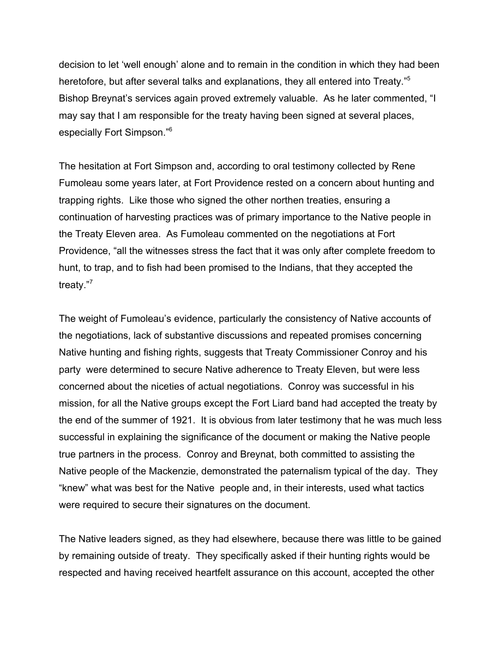decision to let 'well enough' alone and to remain in the condition in which they had been heretofore, but after several talks and explanations, they all entered into Treaty."<sup>5</sup> Bishop Breynat's services again proved extremely valuable. As he later commented, "I may say that I am responsible for the treaty having been signed at several places, especially Fort Simpson."6

The hesitation at Fort Simpson and, according to oral testimony collected by Rene Fumoleau some years later, at Fort Providence rested on a concern about hunting and trapping rights. Like those who signed the other northen treaties, ensuring a continuation of harvesting practices was of primary importance to the Native people in the Treaty Eleven area. As Fumoleau commented on the negotiations at Fort Providence, "all the witnesses stress the fact that it was only after complete freedom to hunt, to trap, and to fish had been promised to the Indians, that they accepted the treaty."<sup>7</sup>

The weight of Fumoleau's evidence, particularly the consistency of Native accounts of the negotiations, lack of substantive discussions and repeated promises concerning Native hunting and fishing rights, suggests that Treaty Commissioner Conroy and his party were determined to secure Native adherence to Treaty Eleven, but were less concerned about the niceties of actual negotiations. Conroy was successful in his mission, for all the Native groups except the Fort Liard band had accepted the treaty by the end of the summer of 1921. It is obvious from later testimony that he was much less successful in explaining the significance of the document or making the Native people true partners in the process. Conroy and Breynat, both committed to assisting the Native people of the Mackenzie, demonstrated the paternalism typical of the day. They "knew" what was best for the Native people and, in their interests, used what tactics were required to secure their signatures on the document.

The Native leaders signed, as they had elsewhere, because there was little to be gained by remaining outside of treaty. They specifically asked if their hunting rights would be respected and having received heartfelt assurance on this account, accepted the other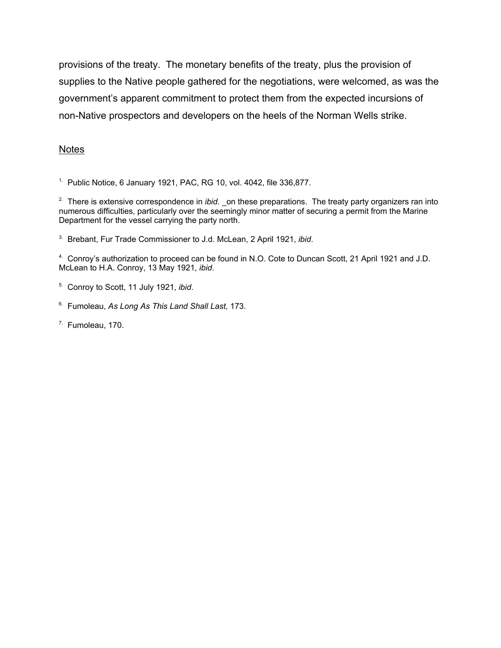provisions of the treaty. The monetary benefits of the treaty, plus the provision of supplies to the Native people gathered for the negotiations, were welcomed, as was the government's apparent commitment to protect them from the expected incursions of non-Native prospectors and developers on the heels of the Norman Wells strike.

## **Notes**

<sup>1.</sup> Public Notice, 6 January 1921, PAC, RG 10, vol. 4042, file  $336,877$ .

<sup>2.</sup> There is extensive correspondence in *ibid*. \_on these preparations. The treaty party organizers ran into numerous difficulties, particularly over the seemingly minor matter of securing a permit from the Marine Department for the vessel carrying the party north.

3. Brebant, Fur Trade Commissioner to J.d. McLean, 2 April 1921, *ibid*.

4. Conroy's authorization to proceed can be found in N.O. Cote to Duncan Scott, 21 April 1921 and J.D. McLean to H.A. Conroy, 13 May 1921, *ibid*.

5. Conroy to Scott, 11 July 1921, *ibid*.

6. Fumoleau, *As Long As This Land Shall Last,* 173.

7. Fumoleau, 170.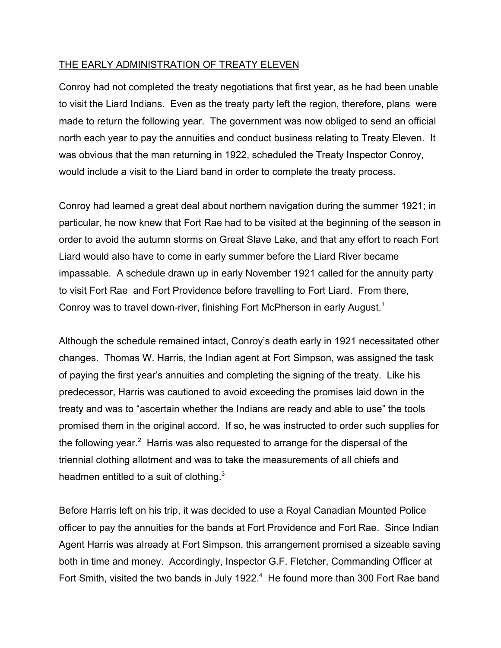# THE EARLY ADMINISTRATION OF TREATY ELEVEN

Conroy had not completed the treaty negotiations that first year, as he had been unable to visit the Liard Indians. Even as the treaty party left the region, therefore, plans were made to return the following year. The government was now obliged to send an official north each year to pay the annuities and conduct business relating to Treaty Eleven. It was obvious that the man returning in 1922, scheduled the Treaty Inspector Conroy, would include a visit to the Liard band in order to complete the treaty process.

Conroy had learned a great deal about northern navigation during the summer 1921; in particular, he now knew that Fort Rae had to be visited at the beginning of the season in order to avoid the autumn storms on Great Slave Lake, and that any effort to reach Fort Liard would also have to come in early summer before the Liard River became impassable. A schedule drawn up in early November 1921 called for the annuity party to visit Fort Rae and Fort Providence before travelling to Fort Liard. From there, Conroy was to travel down-river, finishing Fort McPherson in early August.<sup>1</sup>

Although the schedule remained intact, Conroy's death early in 1921 necessitated other changes. Thomas W. Harris, the Indian agent at Fort Simpson, was assigned the task of paying the first year's annuities and completing the signing of the treaty. Like his predecessor, Harris was cautioned to avoid exceeding the promises laid down in the treaty and was to "ascertain whether the Indians are ready and able to use" the tools promised them in the original accord. If so, he was instructed to order such supplies for the following year.<sup>2</sup> Harris was also requested to arrange for the dispersal of the triennial clothing allotment and was to take the measurements of all chiefs and headmen entitled to a suit of clothing. $3$ 

Before Harris left on his trip, it was decided to use a Royal Canadian Mounted Police officer to pay the annuities for the bands at Fort Providence and Fort Rae. Since Indian Agent Harris was already at Fort Simpson, this arrangement promised a sizeable saving both in time and money. Accordingly, Inspector G.F. Fletcher, Commanding Officer at Fort Smith, visited the two bands in July 1922. $4$  He found more than 300 Fort Rae band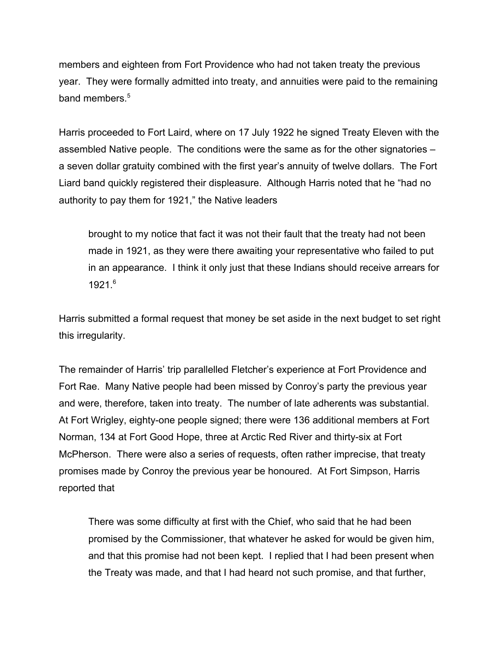members and eighteen from Fort Providence who had not taken treaty the previous year. They were formally admitted into treaty, and annuities were paid to the remaining band members.<sup>5</sup>

Harris proceeded to Fort Laird, where on 17 July 1922 he signed Treaty Eleven with the assembled Native people. The conditions were the same as for the other signatories – a seven dollar gratuity combined with the first year's annuity of twelve dollars. The Fort Liard band quickly registered their displeasure. Although Harris noted that he "had no authority to pay them for 1921," the Native leaders

brought to my notice that fact it was not their fault that the treaty had not been made in 1921, as they were there awaiting your representative who failed to put in an appearance. I think it only just that these Indians should receive arrears for 1921.6

Harris submitted a formal request that money be set aside in the next budget to set right this irregularity.

The remainder of Harris' trip parallelled Fletcher's experience at Fort Providence and Fort Rae. Many Native people had been missed by Conroy's party the previous year and were, therefore, taken into treaty. The number of late adherents was substantial. At Fort Wrigley, eighty-one people signed; there were 136 additional members at Fort Norman, 134 at Fort Good Hope, three at Arctic Red River and thirty-six at Fort McPherson. There were also a series of requests, often rather imprecise, that treaty promises made by Conroy the previous year be honoured. At Fort Simpson, Harris reported that

There was some difficulty at first with the Chief, who said that he had been promised by the Commissioner, that whatever he asked for would be given him, and that this promise had not been kept. I replied that I had been present when the Treaty was made, and that I had heard not such promise, and that further,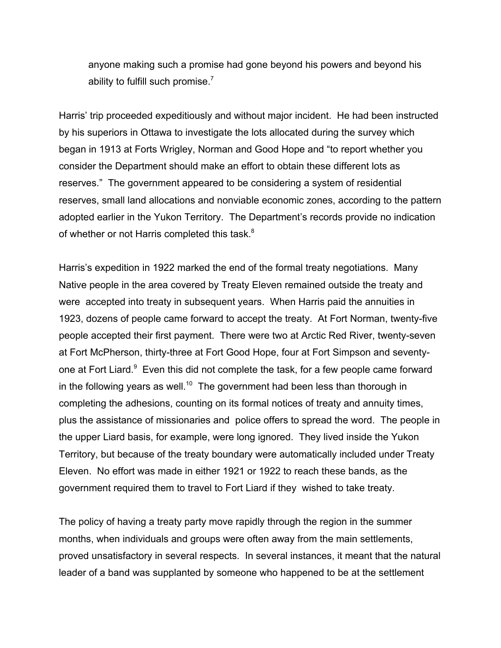anyone making such a promise had gone beyond his powers and beyond his ability to fulfill such promise. $<sup>7</sup>$ </sup>

Harris' trip proceeded expeditiously and without major incident. He had been instructed by his superiors in Ottawa to investigate the lots allocated during the survey which began in 1913 at Forts Wrigley, Norman and Good Hope and "to report whether you consider the Department should make an effort to obtain these different lots as reserves." The government appeared to be considering a system of residential reserves, small land allocations and nonviable economic zones, according to the pattern adopted earlier in the Yukon Territory. The Department's records provide no indication of whether or not Harris completed this task.<sup>8</sup>

Harris's expedition in 1922 marked the end of the formal treaty negotiations. Many Native people in the area covered by Treaty Eleven remained outside the treaty and were accepted into treaty in subsequent years. When Harris paid the annuities in 1923, dozens of people came forward to accept the treaty. At Fort Norman, twenty-five people accepted their first payment. There were two at Arctic Red River, twenty-seven at Fort McPherson, thirty-three at Fort Good Hope, four at Fort Simpson and seventyone at Fort Liard.<sup>9</sup> Even this did not complete the task, for a few people came forward in the following years as well.<sup>10</sup> The government had been less than thorough in completing the adhesions, counting on its formal notices of treaty and annuity times, plus the assistance of missionaries and police offers to spread the word. The people in the upper Liard basis, for example, were long ignored. They lived inside the Yukon Territory, but because of the treaty boundary were automatically included under Treaty Eleven. No effort was made in either 1921 or 1922 to reach these bands, as the government required them to travel to Fort Liard if they wished to take treaty.

The policy of having a treaty party move rapidly through the region in the summer months, when individuals and groups were often away from the main settlements, proved unsatisfactory in several respects. In several instances, it meant that the natural leader of a band was supplanted by someone who happened to be at the settlement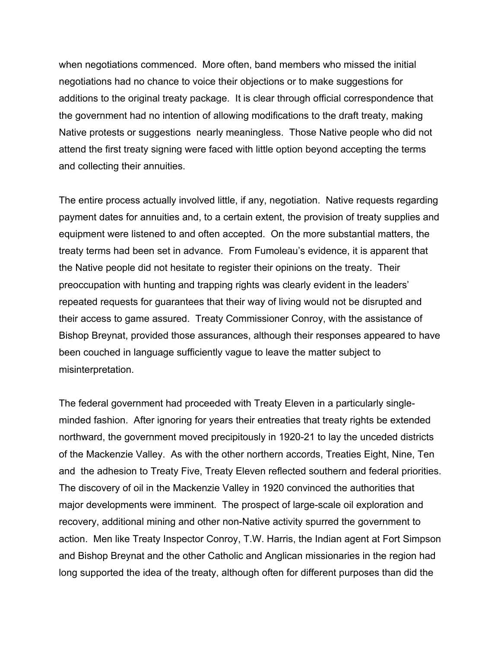when negotiations commenced. More often, band members who missed the initial negotiations had no chance to voice their objections or to make suggestions for additions to the original treaty package. It is clear through official correspondence that the government had no intention of allowing modifications to the draft treaty, making Native protests or suggestions nearly meaningless. Those Native people who did not attend the first treaty signing were faced with little option beyond accepting the terms and collecting their annuities.

The entire process actually involved little, if any, negotiation. Native requests regarding payment dates for annuities and, to a certain extent, the provision of treaty supplies and equipment were listened to and often accepted. On the more substantial matters, the treaty terms had been set in advance. From Fumoleau's evidence, it is apparent that the Native people did not hesitate to register their opinions on the treaty. Their preoccupation with hunting and trapping rights was clearly evident in the leaders' repeated requests for guarantees that their way of living would not be disrupted and their access to game assured. Treaty Commissioner Conroy, with the assistance of Bishop Breynat, provided those assurances, although their responses appeared to have been couched in language sufficiently vague to leave the matter subject to misinterpretation.

The federal government had proceeded with Treaty Eleven in a particularly singleminded fashion. After ignoring for years their entreaties that treaty rights be extended northward, the government moved precipitously in 1920-21 to lay the unceded districts of the Mackenzie Valley. As with the other northern accords, Treaties Eight, Nine, Ten and the adhesion to Treaty Five, Treaty Eleven reflected southern and federal priorities. The discovery of oil in the Mackenzie Valley in 1920 convinced the authorities that major developments were imminent. The prospect of large-scale oil exploration and recovery, additional mining and other non-Native activity spurred the government to action. Men like Treaty Inspector Conroy, T.W. Harris, the Indian agent at Fort Simpson and Bishop Breynat and the other Catholic and Anglican missionaries in the region had long supported the idea of the treaty, although often for different purposes than did the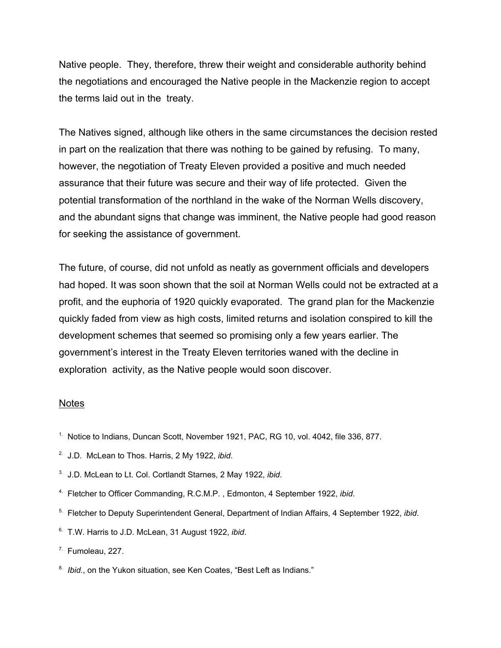Native people. They, therefore, threw their weight and considerable authority behind the negotiations and encouraged the Native people in the Mackenzie region to accept the terms laid out in the treaty.

The Natives signed, although like others in the same circumstances the decision rested in part on the realization that there was nothing to be gained by refusing. To many, however, the negotiation of Treaty Eleven provided a positive and much needed assurance that their future was secure and their way of life protected. Given the potential transformation of the northland in the wake of the Norman Wells discovery, and the abundant signs that change was imminent, the Native people had good reason for seeking the assistance of government.

The future, of course, did not unfold as neatly as government officials and developers had hoped. It was soon shown that the soil at Norman Wells could not be extracted at a profit, and the euphoria of 1920 quickly evaporated. The grand plan for the Mackenzie quickly faded from view as high costs, limited returns and isolation conspired to kill the development schemes that seemed so promising only a few years earlier. The government's interest in the Treaty Eleven territories waned with the decline in exploration activity, as the Native people would soon discover.

#### **Notes**

- 1. Notice to Indians, Duncan Scott, November 1921, PAC, RG 10, vol. 4042, file 336, 877.
- 2. J.D. McLean to Thos. Harris, 2 My 1922, *ibid*.
- 3. J.D. McLean to Lt. Col. Cortlandt Starnes, 2 May 1922, *ibid*.
- 4. Fletcher to Officer Commanding, R.C.M.P. , Edmonton, 4 September 1922, *ibid*.
- 5. Fletcher to Deputy Superintendent General, Department of Indian Affairs, 4 September 1922, *ibid*.
- 6. T.W. Harris to J.D. McLean, 31 August 1922, *ibid*.
- $7.$  Fumoleau, 227.
- <sup>8.</sup> *Ibid.*, on the Yukon situation, see Ken Coates, "Best Left as Indians."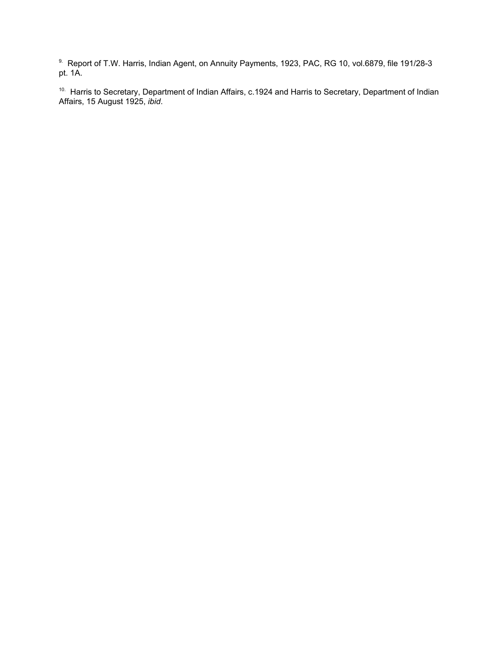9. Report of T.W. Harris, Indian Agent, on Annuity Payments, 1923, PAC, RG 10, vol.6879, file 191/28-3 pt. 1A.

<sup>10.</sup> Harris to Secretary, Department of Indian Affairs, c.1924 and Harris to Secretary, Department of Indian Affairs, 15 August 1925, *ibid*.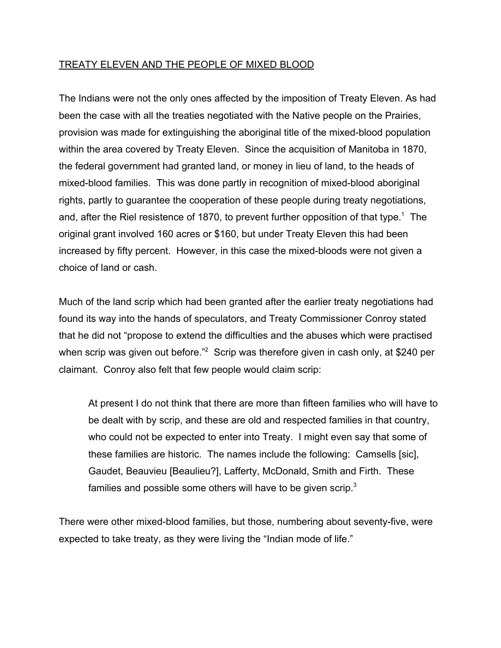# TREATY ELEVEN AND THE PEOPLE OF MIXED BLOOD

The Indians were not the only ones affected by the imposition of Treaty Eleven. As had been the case with all the treaties negotiated with the Native people on the Prairies, provision was made for extinguishing the aboriginal title of the mixed-blood population within the area covered by Treaty Eleven. Since the acquisition of Manitoba in 1870, the federal government had granted land, or money in lieu of land, to the heads of mixed-blood families. This was done partly in recognition of mixed-blood aboriginal rights, partly to guarantee the cooperation of these people during treaty negotiations, and, after the Riel resistence of 1870, to prevent further opposition of that type.<sup>1</sup> The original grant involved 160 acres or \$160, but under Treaty Eleven this had been increased by fifty percent. However, in this case the mixed-bloods were not given a choice of land or cash.

Much of the land scrip which had been granted after the earlier treaty negotiations had found its way into the hands of speculators, and Treaty Commissioner Conroy stated that he did not "propose to extend the difficulties and the abuses which were practised when scrip was given out before."<sup>2</sup> Scrip was therefore given in cash only, at \$240 per claimant. Conroy also felt that few people would claim scrip:

At present I do not think that there are more than fifteen families who will have to be dealt with by scrip, and these are old and respected families in that country, who could not be expected to enter into Treaty. I might even say that some of these families are historic. The names include the following: Camsells [sic], Gaudet, Beauvieu [Beaulieu?], Lafferty, McDonald, Smith and Firth. These families and possible some others will have to be given scrip. $3$ 

There were other mixed-blood families, but those, numbering about seventy-five, were expected to take treaty, as they were living the "Indian mode of life."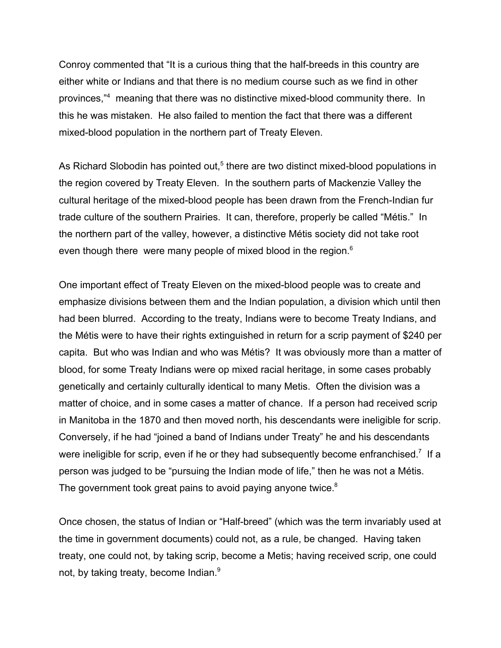Conroy commented that "It is a curious thing that the half-breeds in this country are either white or Indians and that there is no medium course such as we find in other provinces,"<sup>4</sup> meaning that there was no distinctive mixed-blood community there. In this he was mistaken. He also failed to mention the fact that there was a different mixed-blood population in the northern part of Treaty Eleven.

As Richard Slobodin has pointed out,<sup>5</sup> there are two distinct mixed-blood populations in the region covered by Treaty Eleven. In the southern parts of Mackenzie Valley the cultural heritage of the mixed-blood people has been drawn from the French-Indian fur trade culture of the southern Prairies. It can, therefore, properly be called "Métis." In the northern part of the valley, however, a distinctive Métis society did not take root even though there were many people of mixed blood in the region.<sup>6</sup>

One important effect of Treaty Eleven on the mixed-blood people was to create and emphasize divisions between them and the Indian population, a division which until then had been blurred. According to the treaty, Indians were to become Treaty Indians, and the Métis were to have their rights extinguished in return for a scrip payment of \$240 per capita. But who was Indian and who was Métis? It was obviously more than a matter of blood, for some Treaty Indians were op mixed racial heritage, in some cases probably genetically and certainly culturally identical to many Metis. Often the division was a matter of choice, and in some cases a matter of chance. If a person had received scrip in Manitoba in the 1870 and then moved north, his descendants were ineligible for scrip. Conversely, if he had "joined a band of Indians under Treaty" he and his descendants were ineligible for scrip, even if he or they had subsequently become enfranchised.<sup>7</sup> If a person was judged to be "pursuing the Indian mode of life," then he was not a Métis. The government took great pains to avoid paying anyone twice.<sup>8</sup>

Once chosen, the status of Indian or "Half-breed" (which was the term invariably used at the time in government documents) could not, as a rule, be changed. Having taken treaty, one could not, by taking scrip, become a Metis; having received scrip, one could not, by taking treaty, become Indian.<sup>9</sup>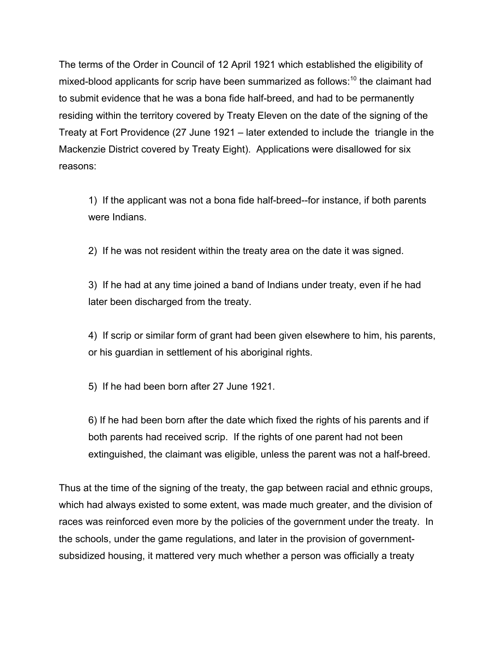The terms of the Order in Council of 12 April 1921 which established the eligibility of mixed-blood applicants for scrip have been summarized as follows: $10$  the claimant had to submit evidence that he was a bona fide half-breed, and had to be permanently residing within the territory covered by Treaty Eleven on the date of the signing of the Treaty at Fort Providence (27 June 1921 – later extended to include the triangle in the Mackenzie District covered by Treaty Eight). Applications were disallowed for six reasons:

1) If the applicant was not a bona fide half-breed--for instance, if both parents were Indians.

2) If he was not resident within the treaty area on the date it was signed.

3) If he had at any time joined a band of Indians under treaty, even if he had later been discharged from the treaty.

4) If scrip or similar form of grant had been given elsewhere to him, his parents, or his guardian in settlement of his aboriginal rights.

5) If he had been born after 27 June 1921.

6) If he had been born after the date which fixed the rights of his parents and if both parents had received scrip. If the rights of one parent had not been extinguished, the claimant was eligible, unless the parent was not a half-breed.

Thus at the time of the signing of the treaty, the gap between racial and ethnic groups, which had always existed to some extent, was made much greater, and the division of races was reinforced even more by the policies of the government under the treaty. In the schools, under the game regulations, and later in the provision of governmentsubsidized housing, it mattered very much whether a person was officially a treaty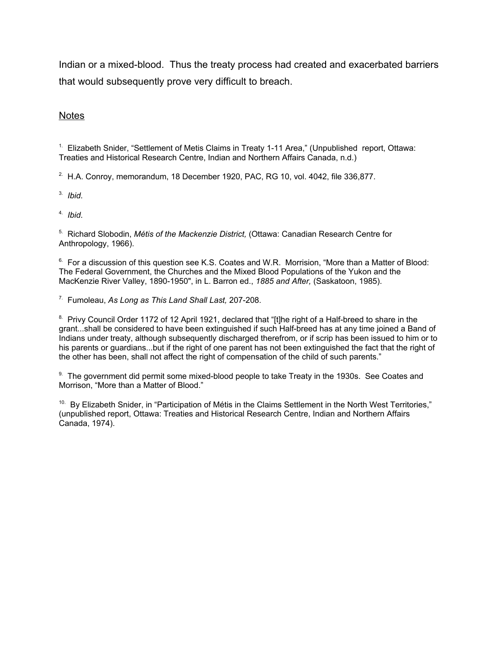Indian or a mixed-blood. Thus the treaty process had created and exacerbated barriers that would subsequently prove very difficult to breach.

## **Notes**

<sup>1.</sup> Elizabeth Snider, "Settlement of Metis Claims in Treaty 1-11 Area," (Unpublished report, Ottawa: Treaties and Historical Research Centre, Indian and Northern Affairs Canada, n.d.)

 $2.$  H.A. Conroy, memorandum, 18 December 1920, PAC, RG 10, vol. 4042, file 336,877.

3. *Ibid*.

4. *Ibid*.

5. Richard Slobodin, *Métis of the Mackenzie District,* (Ottawa: Canadian Research Centre for Anthropology, 1966).

 $6.$  For a discussion of this question see K.S. Coates and W.R. Morrision, "More than a Matter of Blood: The Federal Government, the Churches and the Mixed Blood Populations of the Yukon and the MacKenzie River Valley, 1890-1950", in L. Barron ed., *1885 and After,* (Saskatoon, 1985).

7. Fumoleau, *As Long as This Land Shall Last,* 207-208.

<sup>8.</sup> Privy Council Order 1172 of 12 April 1921, declared that "[t]he right of a Half-breed to share in the grant...shall be considered to have been extinguished if such Half-breed has at any time joined a Band of Indians under treaty, although subsequently discharged therefrom, or if scrip has been issued to him or to his parents or guardians...but if the right of one parent has not been extinguished the fact that the right of the other has been, shall not affect the right of compensation of the child of such parents."

9. The government did permit some mixed-blood people to take Treaty in the 1930s. See Coates and Morrison, "More than a Matter of Blood."

<sup>10.</sup> By Elizabeth Snider, in "Participation of Métis in the Claims Settlement in the North West Territories," (unpublished report, Ottawa: Treaties and Historical Research Centre, Indian and Northern Affairs Canada, 1974).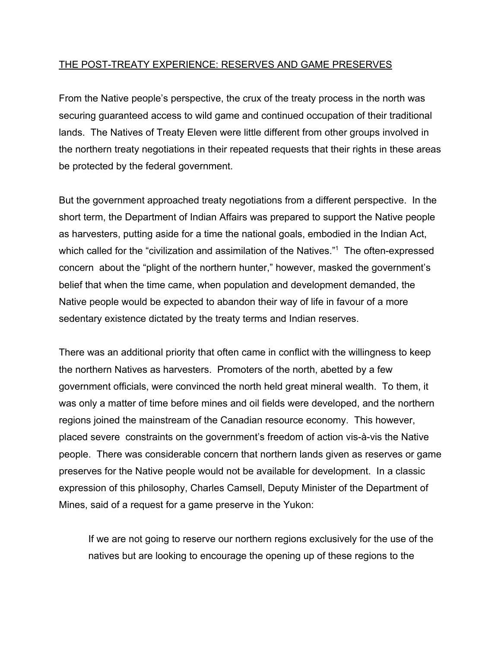## THE POST-TREATY EXPERIENCE: RESERVES AND GAME PRESERVES

From the Native people's perspective, the crux of the treaty process in the north was securing guaranteed access to wild game and continued occupation of their traditional lands. The Natives of Treaty Eleven were little different from other groups involved in the northern treaty negotiations in their repeated requests that their rights in these areas be protected by the federal government.

But the government approached treaty negotiations from a different perspective. In the short term, the Department of Indian Affairs was prepared to support the Native people as harvesters, putting aside for a time the national goals, embodied in the Indian Act, which called for the "civilization and assimilation of the Natives."<sup>1</sup> The often-expressed concern about the "plight of the northern hunter," however, masked the government's belief that when the time came, when population and development demanded, the Native people would be expected to abandon their way of life in favour of a more sedentary existence dictated by the treaty terms and Indian reserves.

There was an additional priority that often came in conflict with the willingness to keep the northern Natives as harvesters. Promoters of the north, abetted by a few government officials, were convinced the north held great mineral wealth. To them, it was only a matter of time before mines and oil fields were developed, and the northern regions joined the mainstream of the Canadian resource economy. This however, placed severe constraints on the government's freedom of action vis-à-vis the Native people. There was considerable concern that northern lands given as reserves or game preserves for the Native people would not be available for development. In a classic expression of this philosophy, Charles Camsell, Deputy Minister of the Department of Mines, said of a request for a game preserve in the Yukon:

If we are not going to reserve our northern regions exclusively for the use of the natives but are looking to encourage the opening up of these regions to the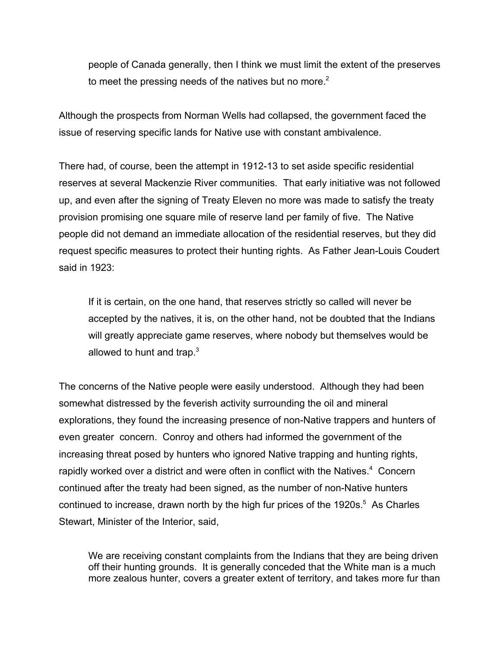people of Canada generally, then I think we must limit the extent of the preserves to meet the pressing needs of the natives but no more. $2$ 

Although the prospects from Norman Wells had collapsed, the government faced the issue of reserving specific lands for Native use with constant ambivalence.

There had, of course, been the attempt in 1912-13 to set aside specific residential reserves at several Mackenzie River communities. That early initiative was not followed up, and even after the signing of Treaty Eleven no more was made to satisfy the treaty provision promising one square mile of reserve land per family of five. The Native people did not demand an immediate allocation of the residential reserves, but they did request specific measures to protect their hunting rights. As Father Jean-Louis Coudert said in 1923:

If it is certain, on the one hand, that reserves strictly so called will never be accepted by the natives, it is, on the other hand, not be doubted that the Indians will greatly appreciate game reserves, where nobody but themselves would be allowed to hunt and trap. $3$ 

The concerns of the Native people were easily understood. Although they had been somewhat distressed by the feverish activity surrounding the oil and mineral explorations, they found the increasing presence of non-Native trappers and hunters of even greater concern. Conroy and others had informed the government of the increasing threat posed by hunters who ignored Native trapping and hunting rights, rapidly worked over a district and were often in conflict with the Natives.<sup>4</sup> Concern continued after the treaty had been signed, as the number of non-Native hunters continued to increase, drawn north by the high fur prices of the 1920s. $5$  As Charles Stewart, Minister of the Interior, said,

We are receiving constant complaints from the Indians that they are being driven off their hunting grounds. It is generally conceded that the White man is a much more zealous hunter, covers a greater extent of territory, and takes more fur than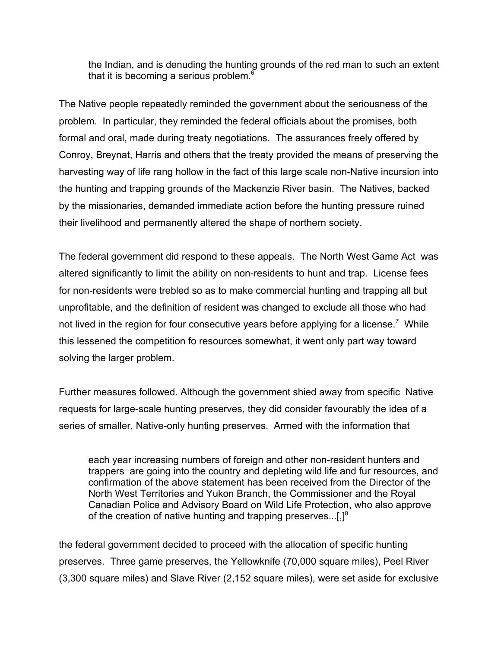the Indian, and is denuding the hunting grounds of the red man to such an extent that it is becoming a serious problem. $6$ 

The Native people repeatedly reminded the government about the seriousness of the problem. In particular, they reminded the federal officials about the promises, both formal and oral, made during treaty negotiations. The assurances freely offered by Conroy, Breynat, Harris and others that the treaty provided the means of preserving the harvesting way of life rang hollow in the fact of this large scale non-Native incursion into the hunting and trapping grounds of the Mackenzie River basin. The Natives, backed by the missionaries, demanded immediate action before the hunting pressure ruined their livelihood and permanently altered the shape of northern society.

The federal government did respond to these appeals. The North West Game Act was altered significantly to limit the ability on non-residents to hunt and trap. License fees for non-residents were trebled so as to make commercial hunting and trapping all but unprofitable, and the definition of resident was changed to exclude all those who had not lived in the region for four consecutive years before applying for a license.<sup>7</sup> While this lessened the competition fo resources somewhat, it went only part way toward solving the larger problem.

Further measures followed. Although the government shied away from specific Native requests for large-scale hunting preserves, they did consider favourably the idea of a series of smaller, Native-only hunting preserves. Armed with the information that

each year increasing numbers of foreign and other non-resident hunters and trappers are going into the country and depleting wild life and fur resources, and confirmation of the above statement has been received from the Director of the North West Territories and Yukon Branch, the Commissioner and the Royal Canadian Police and Advisory Board on Wild Life Protection, who also approve of the creation of native hunting and trapping preserves... $[.]^8$ 

the federal government decided to proceed with the allocation of specific hunting preserves. Three game preserves, the Yellowknife (70,000 square miles), Peel River (3,300 square miles) and Slave River (2,152 square miles), were set aside for exclusive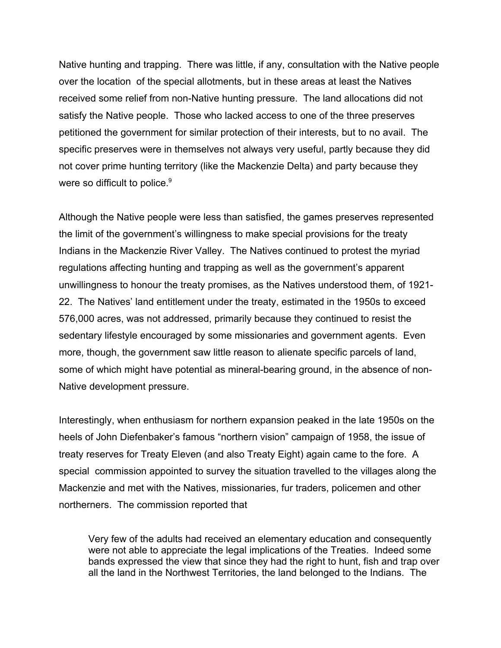Native hunting and trapping. There was little, if any, consultation with the Native people over the location of the special allotments, but in these areas at least the Natives received some relief from non-Native hunting pressure. The land allocations did not satisfy the Native people. Those who lacked access to one of the three preserves petitioned the government for similar protection of their interests, but to no avail. The specific preserves were in themselves not always very useful, partly because they did not cover prime hunting territory (like the Mackenzie Delta) and party because they were so difficult to police.<sup>9</sup>

Although the Native people were less than satisfied, the games preserves represented the limit of the government's willingness to make special provisions for the treaty Indians in the Mackenzie River Valley. The Natives continued to protest the myriad regulations affecting hunting and trapping as well as the government's apparent unwillingness to honour the treaty promises, as the Natives understood them, of 1921- 22. The Natives' land entitlement under the treaty, estimated in the 1950s to exceed 576,000 acres, was not addressed, primarily because they continued to resist the sedentary lifestyle encouraged by some missionaries and government agents. Even more, though, the government saw little reason to alienate specific parcels of land, some of which might have potential as mineral-bearing ground, in the absence of non-Native development pressure.

Interestingly, when enthusiasm for northern expansion peaked in the late 1950s on the heels of John Diefenbaker's famous "northern vision" campaign of 1958, the issue of treaty reserves for Treaty Eleven (and also Treaty Eight) again came to the fore. A special commission appointed to survey the situation travelled to the villages along the Mackenzie and met with the Natives, missionaries, fur traders, policemen and other northerners. The commission reported that

Very few of the adults had received an elementary education and consequently were not able to appreciate the legal implications of the Treaties. Indeed some bands expressed the view that since they had the right to hunt, fish and trap over all the land in the Northwest Territories, the land belonged to the Indians. The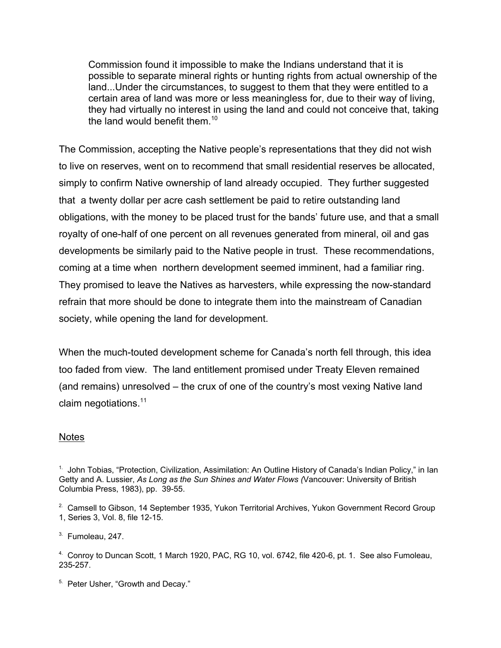Commission found it impossible to make the Indians understand that it is possible to separate mineral rights or hunting rights from actual ownership of the land...Under the circumstances, to suggest to them that they were entitled to a certain area of land was more or less meaningless for, due to their way of living, they had virtually no interest in using the land and could not conceive that, taking the land would benefit them.<sup>10</sup>

The Commission, accepting the Native people's representations that they did not wish to live on reserves, went on to recommend that small residential reserves be allocated, simply to confirm Native ownership of land already occupied. They further suggested that a twenty dollar per acre cash settlement be paid to retire outstanding land obligations, with the money to be placed trust for the bands' future use, and that a small royalty of one-half of one percent on all revenues generated from mineral, oil and gas developments be similarly paid to the Native people in trust. These recommendations, coming at a time when northern development seemed imminent, had a familiar ring. They promised to leave the Natives as harvesters, while expressing the now-standard refrain that more should be done to integrate them into the mainstream of Canadian society, while opening the land for development.

When the much-touted development scheme for Canada's north fell through, this idea too faded from view. The land entitlement promised under Treaty Eleven remained (and remains) unresolved – the crux of one of the country's most vexing Native land claim negotiations.<sup>11</sup>

## **Notes**

3. Fumoleau, 247.

<sup>5.</sup> Peter Usher, "Growth and Decay."

<sup>&</sup>lt;sup>1.</sup> John Tobias, "Protection, Civilization, Assimilation: An Outline History of Canada's Indian Policy," in Ian Getty and A. Lussier, *As Long as the Sun Shines and Water Flows (*Vancouver: University of British Columbia Press, 1983), pp. 39-55.

<sup>&</sup>lt;sup>2</sup> Camsell to Gibson, 14 September 1935, Yukon Territorial Archives, Yukon Government Record Group 1, Series 3, Vol. 8, file 12-15.

<sup>4.</sup> Conroy to Duncan Scott, 1 March 1920, PAC, RG 10, vol. 6742, file 420-6, pt. 1. See also Fumoleau, 235-257.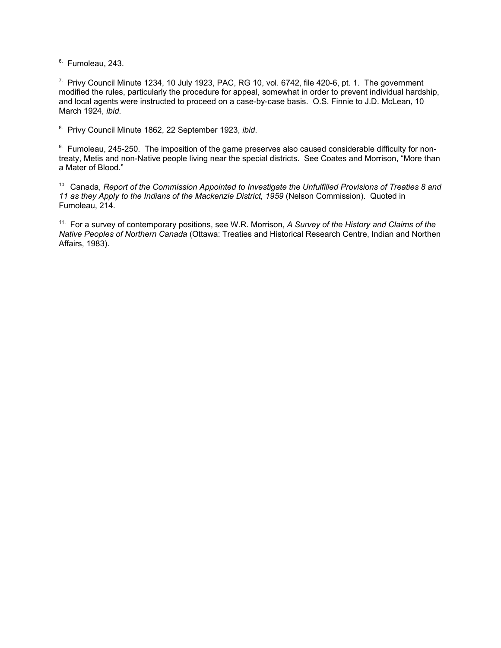$6.$  Fumoleau, 243.

 $7.$  Privy Council Minute 1234, 10 July 1923, PAC, RG 10, vol. 6742, file 420-6, pt. 1. The government modified the rules, particularly the procedure for appeal, somewhat in order to prevent individual hardship, and local agents were instructed to proceed on a case-by-case basis. O.S. Finnie to J.D. McLean, 10 March 1924, *ibid*.

8. Privy Council Minute 1862, 22 September 1923, *ibid*.

9. Fumoleau, 245-250. The imposition of the game preserves also caused considerable difficulty for nontreaty, Metis and non-Native people living near the special districts. See Coates and Morrison, "More than a Mater of Blood."

10. Canada, *Report of the Commission Appointed to Investigate the Unfulfilled Provisions of Treaties 8 and* 11 as they Apply to the Indians of the Mackenzie District, 1959 (Nelson Commission). Quoted in Fumoleau, 214.

11. For a survey of contemporary positions, see W.R. Morrison, *A Survey of the History and Claims of the Native Peoples of Northern Canada* (Ottawa: Treaties and Historical Research Centre, Indian and Northen Affairs, 1983).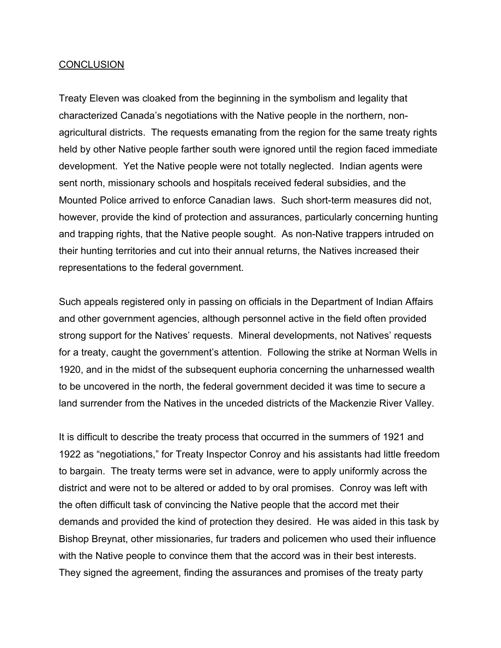## **CONCLUSION**

Treaty Eleven was cloaked from the beginning in the symbolism and legality that characterized Canada's negotiations with the Native people in the northern, nonagricultural districts. The requests emanating from the region for the same treaty rights held by other Native people farther south were ignored until the region faced immediate development. Yet the Native people were not totally neglected. Indian agents were sent north, missionary schools and hospitals received federal subsidies, and the Mounted Police arrived to enforce Canadian laws. Such short-term measures did not, however, provide the kind of protection and assurances, particularly concerning hunting and trapping rights, that the Native people sought. As non-Native trappers intruded on their hunting territories and cut into their annual returns, the Natives increased their representations to the federal government.

Such appeals registered only in passing on officials in the Department of Indian Affairs and other government agencies, although personnel active in the field often provided strong support for the Natives' requests. Mineral developments, not Natives' requests for a treaty, caught the government's attention. Following the strike at Norman Wells in 1920, and in the midst of the subsequent euphoria concerning the unharnessed wealth to be uncovered in the north, the federal government decided it was time to secure a land surrender from the Natives in the unceded districts of the Mackenzie River Valley.

It is difficult to describe the treaty process that occurred in the summers of 1921 and 1922 as "negotiations," for Treaty Inspector Conroy and his assistants had little freedom to bargain. The treaty terms were set in advance, were to apply uniformly across the district and were not to be altered or added to by oral promises. Conroy was left with the often difficult task of convincing the Native people that the accord met their demands and provided the kind of protection they desired. He was aided in this task by Bishop Breynat, other missionaries, fur traders and policemen who used their influence with the Native people to convince them that the accord was in their best interests. They signed the agreement, finding the assurances and promises of the treaty party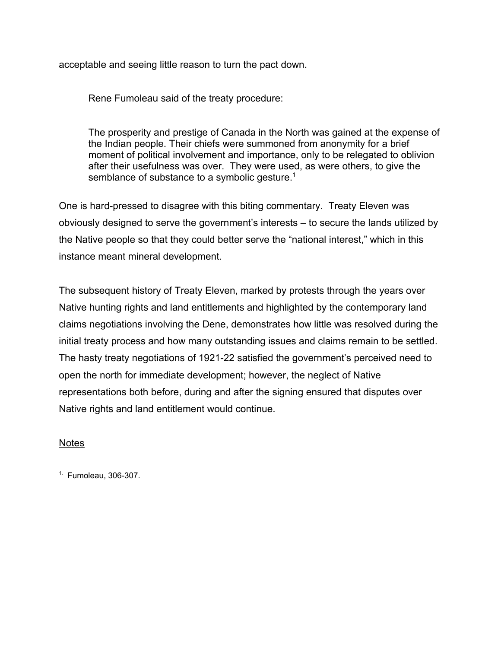acceptable and seeing little reason to turn the pact down.

Rene Fumoleau said of the treaty procedure:

The prosperity and prestige of Canada in the North was gained at the expense of the Indian people. Their chiefs were summoned from anonymity for a brief moment of political involvement and importance, only to be relegated to oblivion after their usefulness was over. They were used, as were others, to give the semblance of substance to a symbolic gesture.<sup>1</sup>

One is hard-pressed to disagree with this biting commentary. Treaty Eleven was obviously designed to serve the government's interests – to secure the lands utilized by the Native people so that they could better serve the "national interest," which in this instance meant mineral development.

The subsequent history of Treaty Eleven, marked by protests through the years over Native hunting rights and land entitlements and highlighted by the contemporary land claims negotiations involving the Dene, demonstrates how little was resolved during the initial treaty process and how many outstanding issues and claims remain to be settled. The hasty treaty negotiations of 1921-22 satisfied the government's perceived need to open the north for immediate development; however, the neglect of Native representations both before, during and after the signing ensured that disputes over Native rights and land entitlement would continue.

## Notes

 $<sup>1</sup>$  Fumoleau, 306-307.</sup>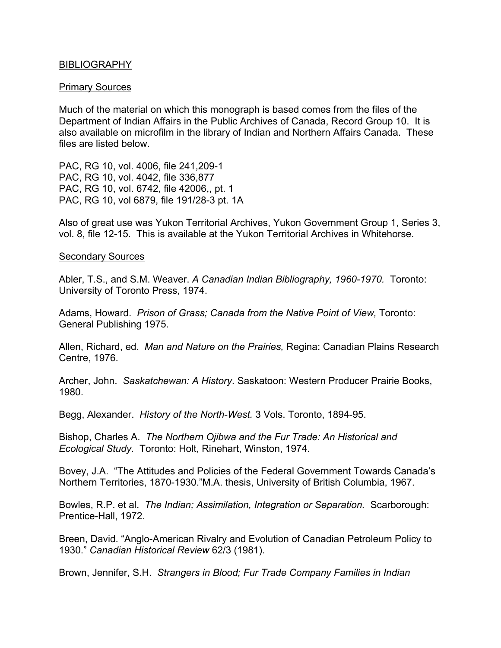### BIBLIOGRAPHY

### Primary Sources

Much of the material on which this monograph is based comes from the files of the Department of Indian Affairs in the Public Archives of Canada, Record Group 10. It is also available on microfilm in the library of Indian and Northern Affairs Canada. These files are listed below.

PAC, RG 10, vol. 4006, file 241,209-1 PAC, RG 10, vol. 4042, file 336,877 PAC, RG 10, vol. 6742, file 42006,, pt. 1 PAC, RG 10, vol 6879, file 191/28-3 pt. 1A

Also of great use was Yukon Territorial Archives, Yukon Government Group 1, Series 3, vol. 8, file 12-15. This is available at the Yukon Territorial Archives in Whitehorse.

#### Secondary Sources

Abler, T.S., and S.M. Weaver. *A Canadian Indian Bibliography, 1960-1970.* Toronto: University of Toronto Press, 1974.

Adams, Howard. *Prison of Grass; Canada from the Native Point of View,* Toronto: General Publishing 1975.

Allen, Richard, ed. *Man and Nature on the Prairies,* Regina: Canadian Plains Research Centre, 1976.

Archer, John. *Saskatchewan: A History*. Saskatoon: Western Producer Prairie Books, 1980.

Begg, Alexander. *History of the North-West.* 3 Vols. Toronto, 1894-95.

Bishop, Charles A. *The Northern Ojibwa and the Fur Trade: An Historical and Ecological Study.* Toronto: Holt, Rinehart, Winston, 1974.

Bovey, J.A. "The Attitudes and Policies of the Federal Government Towards Canada's Northern Territories, 1870-1930."M.A. thesis, University of British Columbia, 1967.

Bowles, R.P. et al. *The Indian; Assimilation, Integration or Separation.* Scarborough: Prentice-Hall, 1972.

Breen, David. "Anglo-American Rivalry and Evolution of Canadian Petroleum Policy to 1930." *Canadian Historical Review* 62/3 (1981).

Brown, Jennifer, S.H. *Strangers in Blood; Fur Trade Company Families in Indian*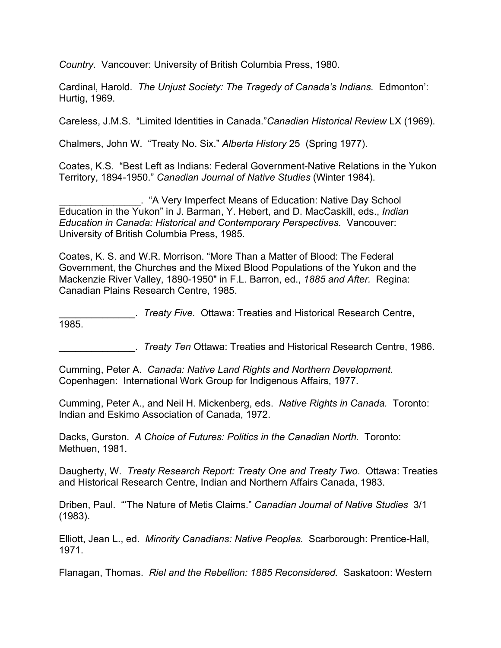*Country*. Vancouver: University of British Columbia Press, 1980.

Cardinal, Harold. *The Unjust Society: The Tragedy of Canada's Indians.* Edmonton': Hurtig, 1969.

Careless, J.M.S. "Limited Identities in Canada."*Canadian Historical Review* LX (1969).

Chalmers, John W. "Treaty No. Six." *Alberta History* 25 (Spring 1977).

Coates, K.S. "Best Left as Indians: Federal Government-Native Relations in the Yukon Territory, 1894-1950." *Canadian Journal of Native Studies* (Winter 1984).

\_\_\_\_\_\_\_\_\_\_\_\_\_\_\_. "A Very Imperfect Means of Education: Native Day School Education in the Yukon" in J. Barman, Y. Hebert, and D. MacCaskill, eds., *Indian Education in Canada: Historical and Contemporary Perspectives.* Vancouver: University of British Columbia Press, 1985.

Coates, K. S. and W.R. Morrison. "More Than a Matter of Blood: The Federal Government, the Churches and the Mixed Blood Populations of the Yukon and the Mackenzie River Valley, 1890-1950" in F.L. Barron, ed., *1885 and After.* Regina: Canadian Plains Research Centre, 1985.

\_\_\_\_\_\_\_\_\_\_\_\_\_\_. *Treaty Five.* Ottawa: Treaties and Historical Research Centre, 1985.

\_\_\_\_\_\_\_\_\_\_\_\_\_\_. *Treaty Ten* Ottawa: Treaties and Historical Research Centre, 1986.

Cumming, Peter A. *Canada: Native Land Rights and Northern Development.* Copenhagen: International Work Group for Indigenous Affairs, 1977.

Cumming, Peter A., and Neil H. Mickenberg, eds. *Native Rights in Canada.* Toronto: Indian and Eskimo Association of Canada, 1972.

Dacks, Gurston. *A Choice of Futures: Politics in the Canadian North.* Toronto: Methuen, 1981.

Daugherty, W. *Treaty Research Report: Treaty One and Treaty Two*. Ottawa: Treaties and Historical Research Centre, Indian and Northern Affairs Canada, 1983.

Driben, Paul. "'The Nature of Metis Claims." *Canadian Journal of Native Studies* 3/1 (1983).

Elliott, Jean L., ed. *Minority Canadians: Native Peoples.* Scarborough: Prentice-Hall, 1971.

Flanagan, Thomas. *Riel and the Rebellion: 1885 Reconsidered.* Saskatoon: Western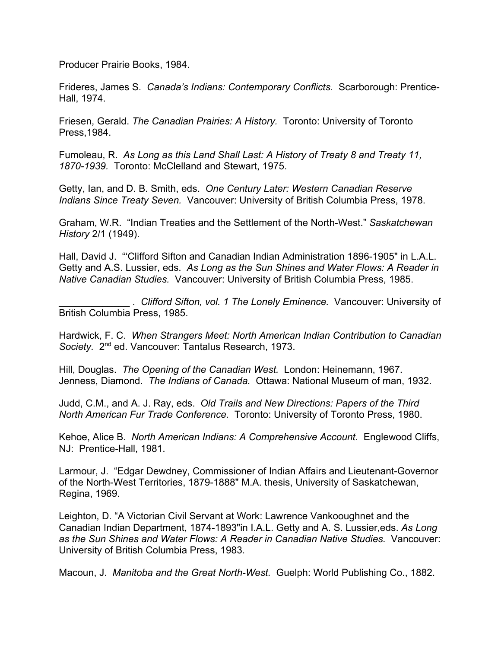Producer Prairie Books, 1984.

Frideres, James S. *Canada's Indians: Contemporary Conflicts.* Scarborough: Prentice-Hall, 1974.

Friesen, Gerald. *The Canadian Prairies: A History.* Toronto: University of Toronto Press,1984.

Fumoleau, R. *As Long as this Land Shall Last: A History of Treaty 8 and Treaty 11, 1870-1939.* Toronto: McClelland and Stewart, 1975.

Getty, Ian, and D. B. Smith, eds. *One Century Later: Western Canadian Reserve Indians Since Treaty Seven.* Vancouver: University of British Columbia Press, 1978.

Graham, W.R. "Indian Treaties and the Settlement of the North-West." *Saskatchewan History* 2/1 (1949).

Hall, David J. "'Clifford Sifton and Canadian Indian Administration 1896-1905" in L.A.L. Getty and A.S. Lussier, eds. *As Long as the Sun Shines and Water Flows: A Reader in Native Canadian Studies.* Vancouver: University of British Columbia Press, 1985.

\_\_\_\_\_\_\_\_\_\_\_\_\_ . *Clifford Sifton, vol. 1 The Lonely Eminence.* Vancouver: University of British Columbia Press, 1985.

Hardwick, F. C. *When Strangers Meet: North American Indian Contribution to Canadian* Society. 2<sup>nd</sup> ed. Vancouver: Tantalus Research, 1973.

Hill, Douglas. *The Opening of the Canadian West.* London: Heinemann, 1967. Jenness, Diamond. *The Indians of Canada.* Ottawa: National Museum of man, 1932.

Judd, C.M., and A. J. Ray, eds. *Old Trails and New Directions: Papers of the Third North American Fur Trade Conference.* Toronto: University of Toronto Press, 1980.

Kehoe, Alice B. *North American Indians: A Comprehensive Account.* Englewood Cliffs, NJ: Prentice-Hall, 1981.

Larmour, J. "Edgar Dewdney, Commissioner of Indian Affairs and Lieutenant-Governor of the North-West Territories, 1879-1888" M.A. thesis, University of Saskatchewan, Regina, 1969.

Leighton, D. "A Victorian Civil Servant at Work: Lawrence Vankooughnet and the Canadian Indian Department, 1874-1893"in I.A.L. Getty and A. S. Lussier,eds. *As Long as the Sun Shines and Water Flows: A Reader in Canadian Native Studies.* Vancouver: University of British Columbia Press, 1983.

Macoun, J. *Manitoba and the Great North-West.* Guelph: World Publishing Co., 1882.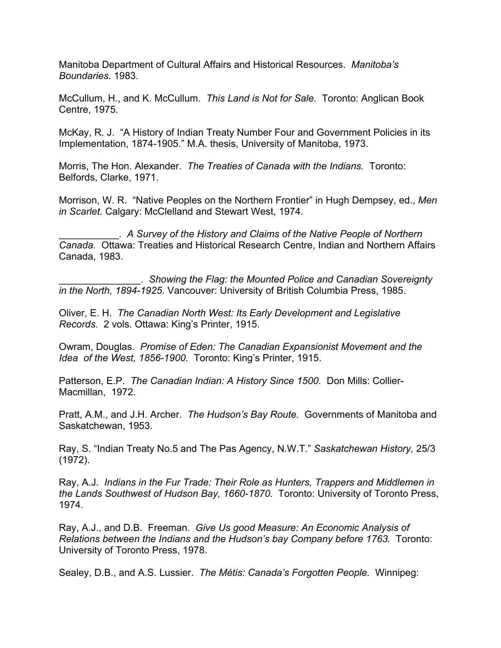Manitoba Department of Cultural Affairs and Historical Resources. *Manitoba's Boundaries.* 1983.

McCullum, H., and K. McCullum. *This Land is Not for Sale.* Toronto: Anglican Book Centre, 1975.

McKay, R. J. "A History of Indian Treaty Number Four and Government Policies in its Implementation, 1874-1905." M.A. thesis, University of Manitoba, 1973.

Morris, The Hon. Alexander. *The Treaties of Canada with the Indians.* Toronto: Belfords, Clarke, 1971.

Morrison, W. R. "Native Peoples on the Northern Frontier" in Hugh Dempsey, ed., *Men in Scarlet.* Calgary: McClelland and Stewart West, 1974.

\_\_\_\_\_\_\_\_\_\_\_. *A Survey of the History and Claims of the Native People of Northern Canada.* Ottawa: Treaties and Historical Research Centre, Indian and Northern Affairs Canada, 1983.

\_\_\_\_\_\_\_\_\_\_\_\_\_\_\_. *Showing the Flag: the Mounted Police and Canadian Sovereignty in the North, 1894-1925.* Vancouver: University of British Columbia Press, 1985.

Oliver, E. H. *The Canadian North West: Its Early Development and Legislative Records.* 2 vols. Ottawa: King's Printer, 1915.

Owram, Douglas. *Promise of Eden: The Canadian Expansionist Movement and the Idea of the West, 1856-1900.* Toronto: King's Printer, 1915.

Patterson, E.P. *The Canadian Indian: A History Since 1500.* Don Mills: Collier-Macmillan, 1972.

Pratt, A.M., and J.H. Archer. *The Hudson's Bay Route.* Governments of Manitoba and Saskatchewan, 1953.

Ray, S. "Indian Treaty No.5 and The Pas Agency, N.W.T." *Saskatchewan History,* 25/3 (1972).

Ray, A.J. *Indians in the Fur Trade: Their Role as Hunters, Trappers and Middlemen in the Lands Southwest of Hudson Bay, 1660-1870.* Toronto: University of Toronto Press, 1974.

Ray, A.J., and D.B. Freeman. *Give Us good Measure: An Economic Analysis of Relations between the Indians and the Hudson's bay Company before 1763.* Toronto: University of Toronto Press, 1978.

Sealey, D.B., and A.S. Lussier. *The Métis: Canada's Forgotten People.* Winnipeg: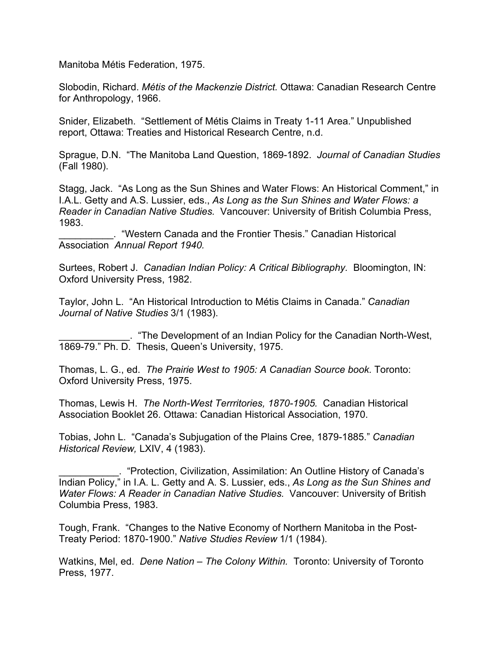Manitoba Métis Federation, 1975.

Slobodin, Richard. *Métis of the Mackenzie District.* Ottawa: Canadian Research Centre for Anthropology, 1966.

Snider, Elizabeth. "Settlement of Métis Claims in Treaty 1-11 Area." Unpublished report, Ottawa: Treaties and Historical Research Centre, n.d.

Sprague, D.N. "The Manitoba Land Question, 1869-1892. *Journal of Canadian Studies* (Fall 1980).

Stagg, Jack. "As Long as the Sun Shines and Water Flows: An Historical Comment," in I.A.L. Getty and A.S. Lussier, eds., *As Long as the Sun Shines and Water Flows: a Reader in Canadian Native Studies.* Vancouver: University of British Columbia Press, 1983.

\_\_\_\_\_\_\_\_\_\_. "Western Canada and the Frontier Thesis." Canadian Historical Association *Annual Report 1940.*

Surtees, Robert J. *Canadian Indian Policy: A Critical Bibliography.* Bloomington, IN: Oxford University Press, 1982.

Taylor, John L. "An Historical Introduction to Métis Claims in Canada." *Canadian Journal of Native Studies* 3/1 (1983).

\_\_\_\_\_\_\_\_\_\_\_\_\_. "The Development of an Indian Policy for the Canadian North-West, 1869-79." Ph. D. Thesis, Queen's University, 1975.

Thomas, L. G., ed. *The Prairie West to 1905: A Canadian Source book.* Toronto: Oxford University Press, 1975.

Thomas, Lewis H. *The North-West Terrritories, 1870-1905.* Canadian Historical Association Booklet 26. Ottawa: Canadian Historical Association, 1970.

Tobias, John L. "Canada's Subjugation of the Plains Cree, 1879-1885." *Canadian Historical Review,* LXIV, 4 (1983).

\_\_\_\_\_\_\_\_\_\_\_. "Protection, Civilization, Assimilation: An Outline History of Canada's Indian Policy," in I.A. L. Getty and A. S. Lussier, eds., *As Long as the Sun Shines and Water Flows: A Reader in Canadian Native Studies.* Vancouver: University of British Columbia Press, 1983.

Tough, Frank. "Changes to the Native Economy of Northern Manitoba in the Post-Treaty Period: 1870-1900." *Native Studies Review* 1/1 (1984).

Watkins, Mel, ed. *Dene Nation – The Colony Within.* Toronto: University of Toronto Press, 1977.